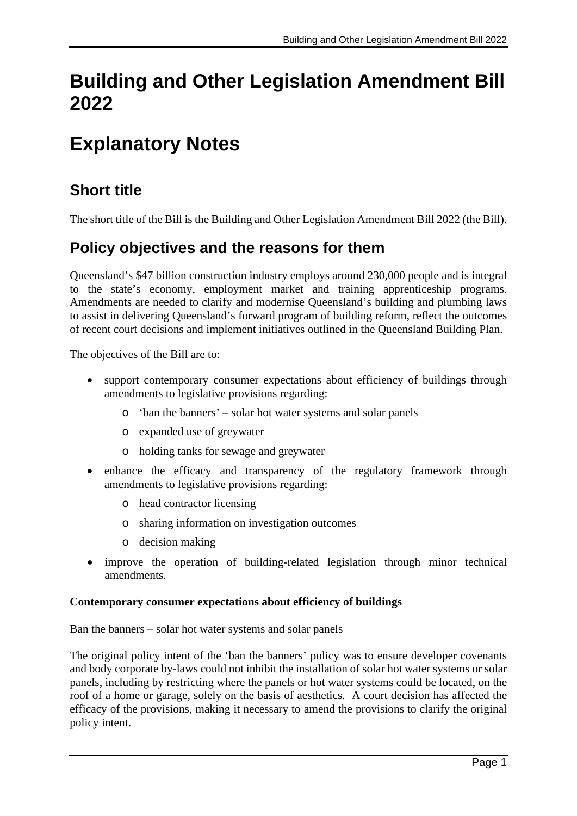# **Building and Other Legislation Amendment Bill 2022**

# **Explanatory Notes**

# **Short title**

The short title of the Bill is the Building and Other Legislation Amendment Bill 2022 (the Bill).

# **Policy objectives and the reasons for them**

Queensland's \$47 billion construction industry employs around 230,000 people and is integral to the state's economy, employment market and training apprenticeship programs. Amendments are needed to clarify and modernise Queensland's building and plumbing laws to assist in delivering Queensland's forward program of building reform, reflect the outcomes of recent court decisions and implement initiatives outlined in the Queensland Building Plan.

The objectives of the Bill are to:

- support contemporary consumer expectations about efficiency of buildings through amendments to legislative provisions regarding:
	- o 'ban the banners' solar hot water systems and solar panels
	- o expanded use of greywater
	- o holding tanks for sewage and greywater
- enhance the efficacy and transparency of the regulatory framework through amendments to legislative provisions regarding:
	- o head contractor licensing
	- o sharing information on investigation outcomes
	- o decision making
- improve the operation of building-related legislation through minor technical amendments.

#### **Contemporary consumer expectations about efficiency of buildings**

#### Ban the banners – solar hot water systems and solar panels

The original policy intent of the 'ban the banners' policy was to ensure developer covenants and body corporate by-laws could not inhibit the installation of solar hot water systems or solar panels, including by restricting where the panels or hot water systems could be located, on the roof of a home or garage, solely on the basis of aesthetics. A court decision has affected the efficacy of the provisions, making it necessary to amend the provisions to clarify the original policy intent.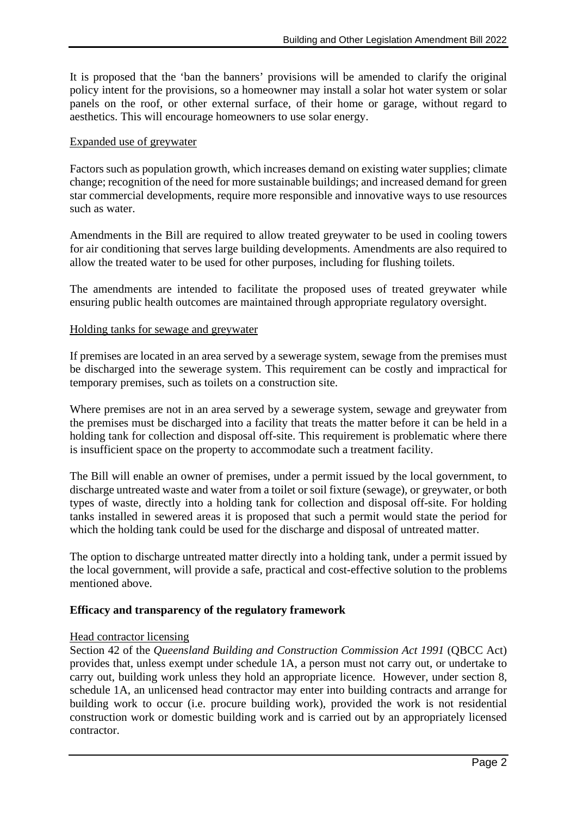It is proposed that the 'ban the banners' provisions will be amended to clarify the original policy intent for the provisions, so a homeowner may install a solar hot water system or solar panels on the roof, or other external surface, of their home or garage, without regard to aesthetics. This will encourage homeowners to use solar energy.

#### Expanded use of greywater

Factors such as population growth, which increases demand on existing water supplies; climate change; recognition of the need for more sustainable buildings; and increased demand for green star commercial developments, require more responsible and innovative ways to use resources such as water.

Amendments in the Bill are required to allow treated greywater to be used in cooling towers for air conditioning that serves large building developments. Amendments are also required to allow the treated water to be used for other purposes, including for flushing toilets.

The amendments are intended to facilitate the proposed uses of treated greywater while ensuring public health outcomes are maintained through appropriate regulatory oversight.

#### Holding tanks for sewage and greywater

If premises are located in an area served by a sewerage system, sewage from the premises must be discharged into the sewerage system. This requirement can be costly and impractical for temporary premises, such as toilets on a construction site.

Where premises are not in an area served by a sewerage system, sewage and greywater from the premises must be discharged into a facility that treats the matter before it can be held in a holding tank for collection and disposal off-site. This requirement is problematic where there is insufficient space on the property to accommodate such a treatment facility.

The Bill will enable an owner of premises, under a permit issued by the local government, to discharge untreated waste and water from a toilet or soil fixture (sewage), or greywater, or both types of waste, directly into a holding tank for collection and disposal off-site. For holding tanks installed in sewered areas it is proposed that such a permit would state the period for which the holding tank could be used for the discharge and disposal of untreated matter.

The option to discharge untreated matter directly into a holding tank, under a permit issued by the local government, will provide a safe, practical and cost-effective solution to the problems mentioned above.

#### **Efficacy and transparency of the regulatory framework**

#### Head contractor licensing

Section 42 of the *Queensland Building and Construction Commission Act 1991* (QBCC Act) provides that, unless exempt under schedule 1A, a person must not carry out, or undertake to carry out, building work unless they hold an appropriate licence. However, under section 8, schedule 1A, an unlicensed head contractor may enter into building contracts and arrange for building work to occur (i.e. procure building work), provided the work is not residential construction work or domestic building work and is carried out by an appropriately licensed contractor.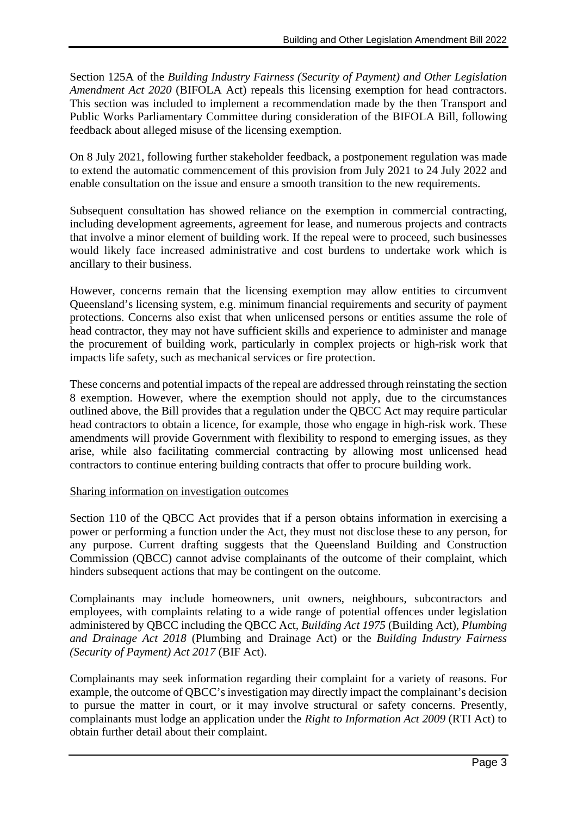Section 125A of the *Building Industry Fairness (Security of Payment) and Other Legislation Amendment Act 2020* (BIFOLA Act) repeals this licensing exemption for head contractors. This section was included to implement a recommendation made by the then Transport and Public Works Parliamentary Committee during consideration of the BIFOLA Bill, following feedback about alleged misuse of the licensing exemption.

On 8 July 2021, following further stakeholder feedback, a postponement regulation was made to extend the automatic commencement of this provision from July 2021 to 24 July 2022 and enable consultation on the issue and ensure a smooth transition to the new requirements.

Subsequent consultation has showed reliance on the exemption in commercial contracting, including development agreements, agreement for lease, and numerous projects and contracts that involve a minor element of building work. If the repeal were to proceed, such businesses would likely face increased administrative and cost burdens to undertake work which is ancillary to their business.

However, concerns remain that the licensing exemption may allow entities to circumvent Queensland's licensing system, e.g. minimum financial requirements and security of payment protections. Concerns also exist that when unlicensed persons or entities assume the role of head contractor, they may not have sufficient skills and experience to administer and manage the procurement of building work, particularly in complex projects or high-risk work that impacts life safety, such as mechanical services or fire protection.

These concerns and potential impacts of the repeal are addressed through reinstating the section 8 exemption. However, where the exemption should not apply, due to the circumstances outlined above, the Bill provides that a regulation under the QBCC Act may require particular head contractors to obtain a licence, for example, those who engage in high-risk work. These amendments will provide Government with flexibility to respond to emerging issues, as they arise, while also facilitating commercial contracting by allowing most unlicensed head contractors to continue entering building contracts that offer to procure building work.

#### Sharing information on investigation outcomes

Section 110 of the QBCC Act provides that if a person obtains information in exercising a power or performing a function under the Act, they must not disclose these to any person, for any purpose. Current drafting suggests that the Queensland Building and Construction Commission (QBCC) cannot advise complainants of the outcome of their complaint, which hinders subsequent actions that may be contingent on the outcome.

Complainants may include homeowners, unit owners, neighbours, subcontractors and employees, with complaints relating to a wide range of potential offences under legislation administered by QBCC including the QBCC Act*, Building Act 1975* (Building Act), *Plumbing and Drainage Act 2018* (Plumbing and Drainage Act) or the *Building Industry Fairness (Security of Payment) Act 2017* (BIF Act).

Complainants may seek information regarding their complaint for a variety of reasons. For example, the outcome of QBCC's investigation may directly impact the complainant's decision to pursue the matter in court, or it may involve structural or safety concerns. Presently, complainants must lodge an application under the *Right to Information Act 2009* (RTI Act) to obtain further detail about their complaint.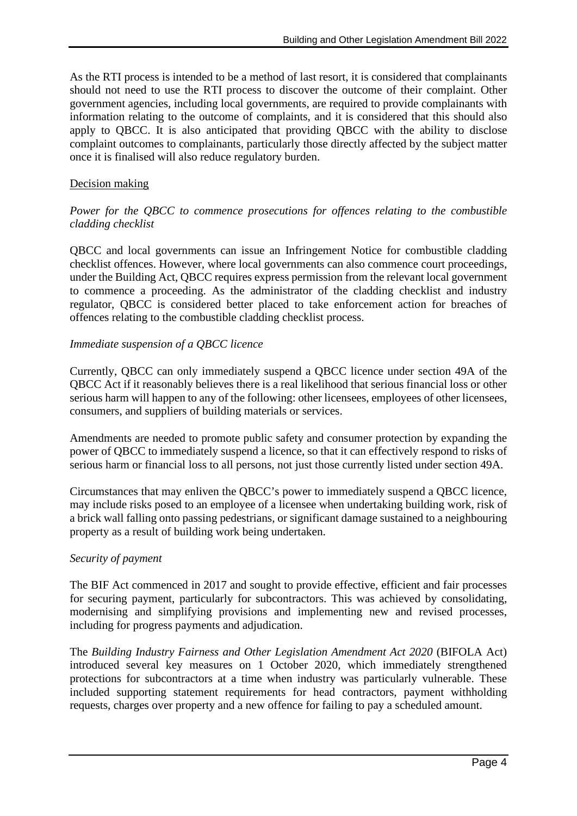As the RTI process is intended to be a method of last resort, it is considered that complainants should not need to use the RTI process to discover the outcome of their complaint. Other government agencies, including local governments, are required to provide complainants with information relating to the outcome of complaints, and it is considered that this should also apply to QBCC. It is also anticipated that providing QBCC with the ability to disclose complaint outcomes to complainants, particularly those directly affected by the subject matter once it is finalised will also reduce regulatory burden.

#### Decision making

#### *Power for the QBCC to commence prosecutions for offences relating to the combustible cladding checklist*

QBCC and local governments can issue an Infringement Notice for combustible cladding checklist offences. However, where local governments can also commence court proceedings, under the Building Act, QBCC requires express permission from the relevant local government to commence a proceeding. As the administrator of the cladding checklist and industry regulator, QBCC is considered better placed to take enforcement action for breaches of offences relating to the combustible cladding checklist process.

#### *Immediate suspension of a QBCC licence*

Currently, QBCC can only immediately suspend a QBCC licence under section 49A of the QBCC Act if it reasonably believes there is a real likelihood that serious financial loss or other serious harm will happen to any of the following: other licensees, employees of other licensees, consumers, and suppliers of building materials or services.

Amendments are needed to promote public safety and consumer protection by expanding the power of QBCC to immediately suspend a licence, so that it can effectively respond to risks of serious harm or financial loss to all persons, not just those currently listed under section 49A.

Circumstances that may enliven the QBCC's power to immediately suspend a QBCC licence, may include risks posed to an employee of a licensee when undertaking building work, risk of a brick wall falling onto passing pedestrians, or significant damage sustained to a neighbouring property as a result of building work being undertaken.

#### *Security of payment*

The BIF Act commenced in 2017 and sought to provide effective, efficient and fair processes for securing payment, particularly for subcontractors. This was achieved by consolidating, modernising and simplifying provisions and implementing new and revised processes, including for progress payments and adjudication.

The *Building Industry Fairness and Other Legislation Amendment Act 2020* (BIFOLA Act) introduced several key measures on 1 October 2020, which immediately strengthened protections for subcontractors at a time when industry was particularly vulnerable. These included supporting statement requirements for head contractors, payment withholding requests, charges over property and a new offence for failing to pay a scheduled amount.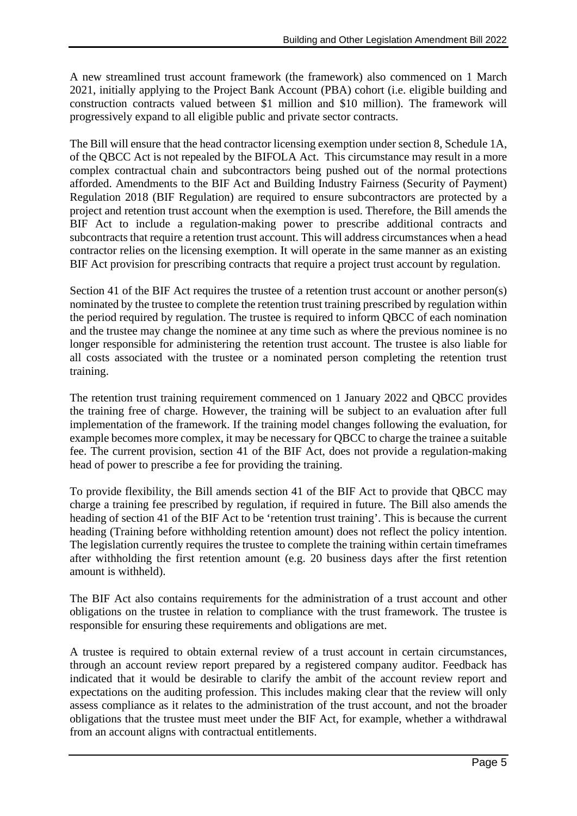A new streamlined trust account framework (the framework) also commenced on 1 March 2021, initially applying to the Project Bank Account (PBA) cohort (i.e. eligible building and construction contracts valued between \$1 million and \$10 million). The framework will progressively expand to all eligible public and private sector contracts.

The Bill will ensure that the head contractor licensing exemption under section 8, Schedule 1A, of the QBCC Act is not repealed by the BIFOLA Act. This circumstance may result in a more complex contractual chain and subcontractors being pushed out of the normal protections afforded. Amendments to the BIF Act and Building Industry Fairness (Security of Payment) Regulation 2018 (BIF Regulation) are required to ensure subcontractors are protected by a project and retention trust account when the exemption is used. Therefore, the Bill amends the BIF Act to include a regulation-making power to prescribe additional contracts and subcontracts that require a retention trust account. This will address circumstances when a head contractor relies on the licensing exemption. It will operate in the same manner as an existing BIF Act provision for prescribing contracts that require a project trust account by regulation.

Section 41 of the BIF Act requires the trustee of a retention trust account or another person(s) nominated by the trustee to complete the retention trust training prescribed by regulation within the period required by regulation. The trustee is required to inform QBCC of each nomination and the trustee may change the nominee at any time such as where the previous nominee is no longer responsible for administering the retention trust account. The trustee is also liable for all costs associated with the trustee or a nominated person completing the retention trust training.

The retention trust training requirement commenced on 1 January 2022 and QBCC provides the training free of charge. However, the training will be subject to an evaluation after full implementation of the framework. If the training model changes following the evaluation, for example becomes more complex, it may be necessary for QBCC to charge the trainee a suitable fee. The current provision, section 41 of the BIF Act, does not provide a regulation-making head of power to prescribe a fee for providing the training.

To provide flexibility, the Bill amends section 41 of the BIF Act to provide that QBCC may charge a training fee prescribed by regulation, if required in future. The Bill also amends the heading of section 41 of the BIF Act to be 'retention trust training'. This is because the current heading (Training before withholding retention amount) does not reflect the policy intention. The legislation currently requires the trustee to complete the training within certain timeframes after withholding the first retention amount (e.g. 20 business days after the first retention amount is withheld).

The BIF Act also contains requirements for the administration of a trust account and other obligations on the trustee in relation to compliance with the trust framework. The trustee is responsible for ensuring these requirements and obligations are met.

A trustee is required to obtain external review of a trust account in certain circumstances, through an account review report prepared by a registered company auditor. Feedback has indicated that it would be desirable to clarify the ambit of the account review report and expectations on the auditing profession. This includes making clear that the review will only assess compliance as it relates to the administration of the trust account, and not the broader obligations that the trustee must meet under the BIF Act, for example, whether a withdrawal from an account aligns with contractual entitlements.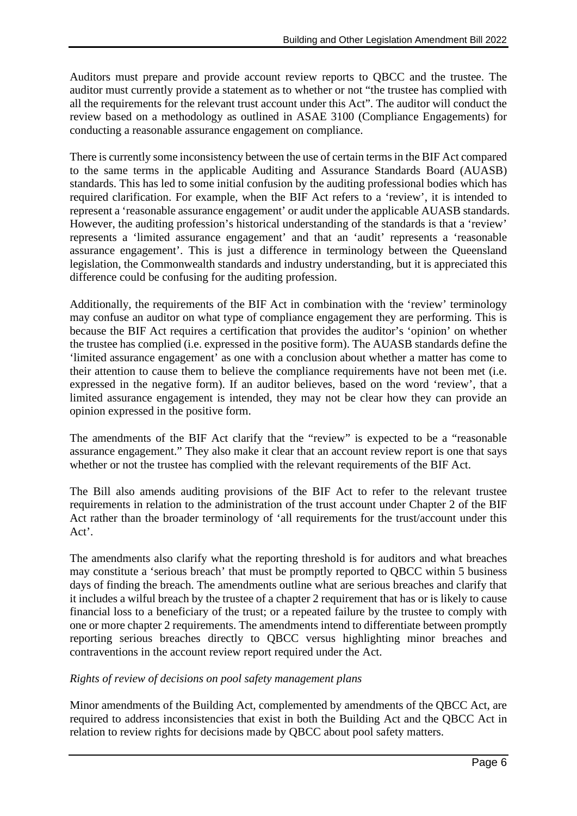Auditors must prepare and provide account review reports to QBCC and the trustee. The auditor must currently provide a statement as to whether or not "the trustee has complied with all the requirements for the relevant trust account under this Act". The auditor will conduct the review based on a methodology as outlined in ASAE 3100 (Compliance Engagements) for conducting a reasonable assurance engagement on compliance.

There is currently some inconsistency between the use of certain terms in the BIF Act compared to the same terms in the applicable Auditing and Assurance Standards Board (AUASB) standards. This has led to some initial confusion by the auditing professional bodies which has required clarification. For example, when the BIF Act refers to a 'review', it is intended to represent a 'reasonable assurance engagement' or audit under the applicable AUASB standards. However, the auditing profession's historical understanding of the standards is that a 'review' represents a 'limited assurance engagement' and that an 'audit' represents a 'reasonable assurance engagement'. This is just a difference in terminology between the Queensland legislation, the Commonwealth standards and industry understanding, but it is appreciated this difference could be confusing for the auditing profession.

Additionally, the requirements of the BIF Act in combination with the 'review' terminology may confuse an auditor on what type of compliance engagement they are performing. This is because the BIF Act requires a certification that provides the auditor's 'opinion' on whether the trustee has complied (i.e. expressed in the positive form). The AUASB standards define the 'limited assurance engagement' as one with a conclusion about whether a matter has come to their attention to cause them to believe the compliance requirements have not been met (i.e. expressed in the negative form). If an auditor believes, based on the word 'review', that a limited assurance engagement is intended, they may not be clear how they can provide an opinion expressed in the positive form.

The amendments of the BIF Act clarify that the "review" is expected to be a "reasonable assurance engagement." They also make it clear that an account review report is one that says whether or not the trustee has complied with the relevant requirements of the BIF Act.

The Bill also amends auditing provisions of the BIF Act to refer to the relevant trustee requirements in relation to the administration of the trust account under Chapter 2 of the BIF Act rather than the broader terminology of 'all requirements for the trust/account under this Act'.

The amendments also clarify what the reporting threshold is for auditors and what breaches may constitute a 'serious breach' that must be promptly reported to QBCC within 5 business days of finding the breach. The amendments outline what are serious breaches and clarify that it includes a wilful breach by the trustee of a chapter 2 requirement that has or is likely to cause financial loss to a beneficiary of the trust; or a repeated failure by the trustee to comply with one or more chapter 2 requirements. The amendments intend to differentiate between promptly reporting serious breaches directly to QBCC versus highlighting minor breaches and contraventions in the account review report required under the Act.

#### *Rights of review of decisions on pool safety management plans*

Minor amendments of the Building Act, complemented by amendments of the QBCC Act, are required to address inconsistencies that exist in both the Building Act and the QBCC Act in relation to review rights for decisions made by QBCC about pool safety matters.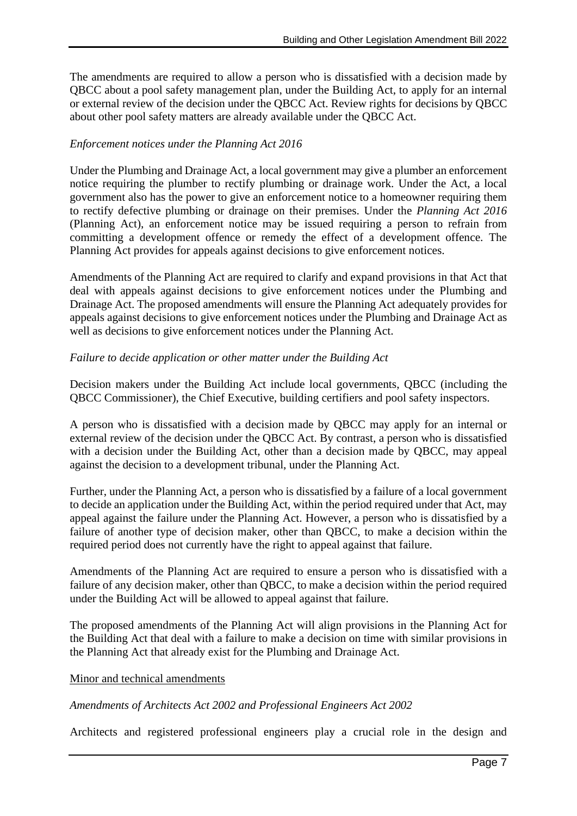The amendments are required to allow a person who is dissatisfied with a decision made by QBCC about a pool safety management plan, under the Building Act, to apply for an internal or external review of the decision under the QBCC Act. Review rights for decisions by QBCC about other pool safety matters are already available under the QBCC Act.

# *Enforcement notices under the Planning Act 2016*

Under the Plumbing and Drainage Act, a local government may give a plumber an enforcement notice requiring the plumber to rectify plumbing or drainage work. Under the Act, a local government also has the power to give an enforcement notice to a homeowner requiring them to rectify defective plumbing or drainage on their premises. Under the *Planning Act 2016*  (Planning Act), an enforcement notice may be issued requiring a person to refrain from committing a development offence or remedy the effect of a development offence. The Planning Act provides for appeals against decisions to give enforcement notices.

Amendments of the Planning Act are required to clarify and expand provisions in that Act that deal with appeals against decisions to give enforcement notices under the Plumbing and Drainage Act. The proposed amendments will ensure the Planning Act adequately provides for appeals against decisions to give enforcement notices under the Plumbing and Drainage Act as well as decisions to give enforcement notices under the Planning Act.

# *Failure to decide application or other matter under the Building Act*

Decision makers under the Building Act include local governments, QBCC (including the QBCC Commissioner), the Chief Executive, building certifiers and pool safety inspectors.

A person who is dissatisfied with a decision made by QBCC may apply for an internal or external review of the decision under the QBCC Act. By contrast, a person who is dissatisfied with a decision under the Building Act, other than a decision made by OBCC, may appeal against the decision to a development tribunal, under the Planning Act.

Further, under the Planning Act, a person who is dissatisfied by a failure of a local government to decide an application under the Building Act, within the period required under that Act, may appeal against the failure under the Planning Act. However, a person who is dissatisfied by a failure of another type of decision maker, other than QBCC, to make a decision within the required period does not currently have the right to appeal against that failure.

Amendments of the Planning Act are required to ensure a person who is dissatisfied with a failure of any decision maker, other than QBCC, to make a decision within the period required under the Building Act will be allowed to appeal against that failure.

The proposed amendments of the Planning Act will align provisions in the Planning Act for the Building Act that deal with a failure to make a decision on time with similar provisions in the Planning Act that already exist for the Plumbing and Drainage Act.

#### Minor and technical amendments

#### *Amendments of Architects Act 2002 and Professional Engineers Act 2002*

Architects and registered professional engineers play a crucial role in the design and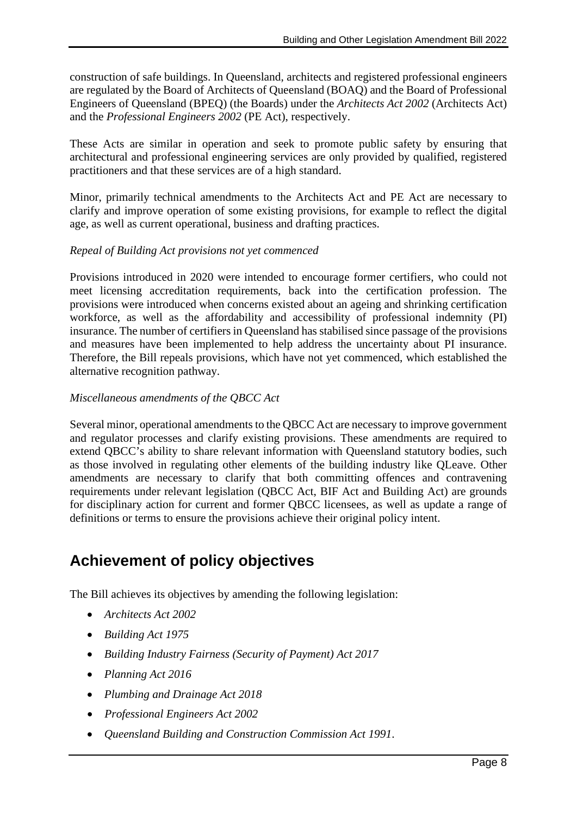construction of safe buildings. In Queensland, architects and registered professional engineers are regulated by the Board of Architects of Queensland (BOAQ) and the Board of Professional Engineers of Queensland (BPEQ) (the Boards) under the *Architects Act 2002* (Architects Act) and the *Professional Engineers 2002* (PE Act), respectively.

These Acts are similar in operation and seek to promote public safety by ensuring that architectural and professional engineering services are only provided by qualified, registered practitioners and that these services are of a high standard.

Minor, primarily technical amendments to the Architects Act and PE Act are necessary to clarify and improve operation of some existing provisions, for example to reflect the digital age, as well as current operational, business and drafting practices.

# *Repeal of Building Act provisions not yet commenced*

Provisions introduced in 2020 were intended to encourage former certifiers, who could not meet licensing accreditation requirements, back into the certification profession. The provisions were introduced when concerns existed about an ageing and shrinking certification workforce, as well as the affordability and accessibility of professional indemnity (PI) insurance. The number of certifiers in Queensland has stabilised since passage of the provisions and measures have been implemented to help address the uncertainty about PI insurance. Therefore, the Bill repeals provisions, which have not yet commenced, which established the alternative recognition pathway.

# *Miscellaneous amendments of the QBCC Act*

Several minor, operational amendments to the QBCC Act are necessary to improve government and regulator processes and clarify existing provisions. These amendments are required to extend OBCC's ability to share relevant information with Queensland statutory bodies, such as those involved in regulating other elements of the building industry like QLeave. Other amendments are necessary to clarify that both committing offences and contravening requirements under relevant legislation (QBCC Act, BIF Act and Building Act) are grounds for disciplinary action for current and former QBCC licensees, as well as update a range of definitions or terms to ensure the provisions achieve their original policy intent.

# **Achievement of policy objectives**

The Bill achieves its objectives by amending the following legislation:

- *Architects Act 2002*
- *Building Act 1975*
- *Building Industry Fairness (Security of Payment) Act 2017*
- *Planning Act 2016*
- *Plumbing and Drainage Act 2018*
- *Professional Engineers Act 2002*
- *Queensland Building and Construction Commission Act 1991*.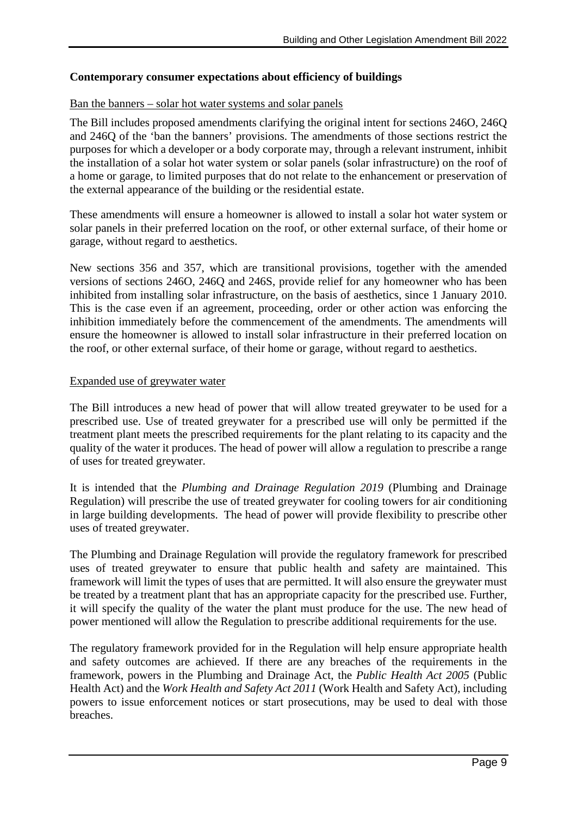#### **Contemporary consumer expectations about efficiency of buildings**

#### Ban the banners – solar hot water systems and solar panels

The Bill includes proposed amendments clarifying the original intent for sections 246O, 246Q and 246Q of the 'ban the banners' provisions. The amendments of those sections restrict the purposes for which a developer or a body corporate may, through a relevant instrument, inhibit the installation of a solar hot water system or solar panels (solar infrastructure) on the roof of a home or garage, to limited purposes that do not relate to the enhancement or preservation of the external appearance of the building or the residential estate.

These amendments will ensure a homeowner is allowed to install a solar hot water system or solar panels in their preferred location on the roof, or other external surface, of their home or garage, without regard to aesthetics.

New sections 356 and 357, which are transitional provisions, together with the amended versions of sections 246O, 246Q and 246S, provide relief for any homeowner who has been inhibited from installing solar infrastructure, on the basis of aesthetics, since 1 January 2010. This is the case even if an agreement, proceeding, order or other action was enforcing the inhibition immediately before the commencement of the amendments. The amendments will ensure the homeowner is allowed to install solar infrastructure in their preferred location on the roof, or other external surface, of their home or garage, without regard to aesthetics.

#### Expanded use of greywater water

The Bill introduces a new head of power that will allow treated greywater to be used for a prescribed use. Use of treated greywater for a prescribed use will only be permitted if the treatment plant meets the prescribed requirements for the plant relating to its capacity and the quality of the water it produces. The head of power will allow a regulation to prescribe a range of uses for treated greywater.

It is intended that the *Plumbing and Drainage Regulation 2019* (Plumbing and Drainage Regulation) will prescribe the use of treated greywater for cooling towers for air conditioning in large building developments. The head of power will provide flexibility to prescribe other uses of treated greywater.

The Plumbing and Drainage Regulation will provide the regulatory framework for prescribed uses of treated greywater to ensure that public health and safety are maintained. This framework will limit the types of uses that are permitted. It will also ensure the greywater must be treated by a treatment plant that has an appropriate capacity for the prescribed use. Further, it will specify the quality of the water the plant must produce for the use. The new head of power mentioned will allow the Regulation to prescribe additional requirements for the use.

The regulatory framework provided for in the Regulation will help ensure appropriate health and safety outcomes are achieved. If there are any breaches of the requirements in the framework, powers in the Plumbing and Drainage Act, the *Public Health Act 2005* (Public Health Act) and the *Work Health and Safety Act 2011* (Work Health and Safety Act), including powers to issue enforcement notices or start prosecutions, may be used to deal with those breaches.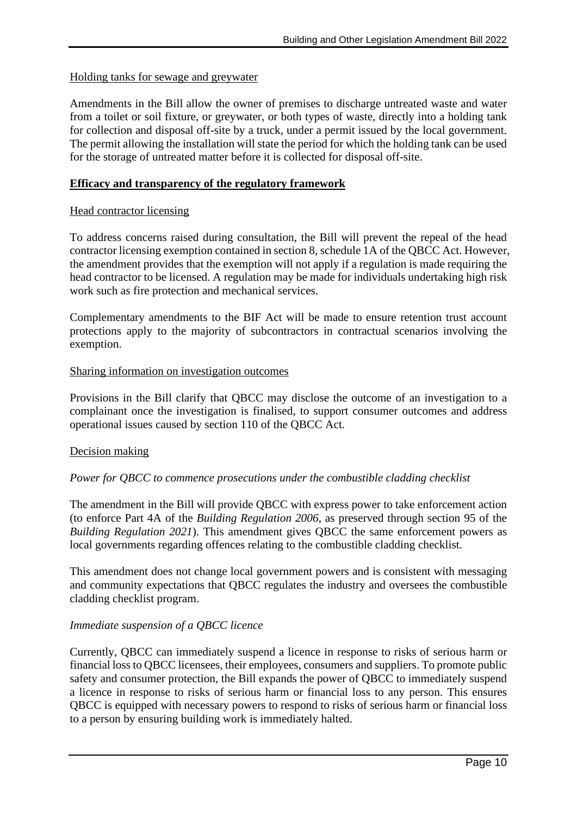#### Holding tanks for sewage and greywater

Amendments in the Bill allow the owner of premises to discharge untreated waste and water from a toilet or soil fixture, or greywater, or both types of waste, directly into a holding tank for collection and disposal off-site by a truck, under a permit issued by the local government. The permit allowing the installation will state the period for which the holding tank can be used for the storage of untreated matter before it is collected for disposal off-site.

#### **Efficacy and transparency of the regulatory framework**

#### Head contractor licensing

To address concerns raised during consultation, the Bill will prevent the repeal of the head contractor licensing exemption contained in section 8, schedule 1A of the QBCC Act. However, the amendment provides that the exemption will not apply if a regulation is made requiring the head contractor to be licensed. A regulation may be made for individuals undertaking high risk work such as fire protection and mechanical services.

Complementary amendments to the BIF Act will be made to ensure retention trust account protections apply to the majority of subcontractors in contractual scenarios involving the exemption.

#### Sharing information on investigation outcomes

Provisions in the Bill clarify that QBCC may disclose the outcome of an investigation to a complainant once the investigation is finalised, to support consumer outcomes and address operational issues caused by section 110 of the QBCC Act.

#### Decision making

#### *Power for QBCC to commence prosecutions under the combustible cladding checklist*

The amendment in the Bill will provide QBCC with express power to take enforcement action (to enforce Part 4A of the *Building Regulation 2006*, as preserved through section 95 of the *Building Regulation 2021*). This amendment gives QBCC the same enforcement powers as local governments regarding offences relating to the combustible cladding checklist.

This amendment does not change local government powers and is consistent with messaging and community expectations that QBCC regulates the industry and oversees the combustible cladding checklist program.

#### *Immediate suspension of a QBCC licence*

Currently, QBCC can immediately suspend a licence in response to risks of serious harm or financial loss to QBCC licensees, their employees, consumers and suppliers. To promote public safety and consumer protection, the Bill expands the power of QBCC to immediately suspend a licence in response to risks of serious harm or financial loss to any person. This ensures QBCC is equipped with necessary powers to respond to risks of serious harm or financial loss to a person by ensuring building work is immediately halted.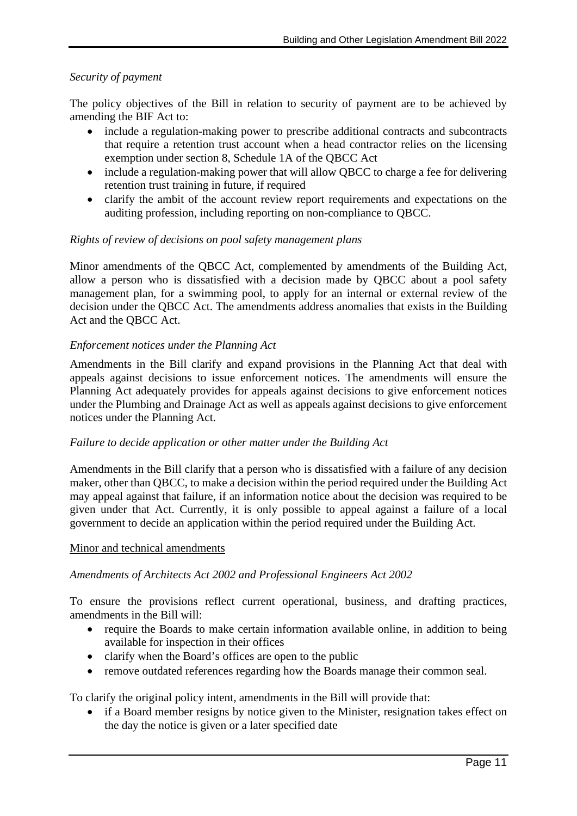#### *Security of payment*

The policy objectives of the Bill in relation to security of payment are to be achieved by amending the BIF Act to:

- include a regulation-making power to prescribe additional contracts and subcontracts that require a retention trust account when a head contractor relies on the licensing exemption under section 8, Schedule 1A of the QBCC Act
- include a regulation-making power that will allow QBCC to charge a fee for delivering retention trust training in future, if required
- clarify the ambit of the account review report requirements and expectations on the auditing profession, including reporting on non-compliance to QBCC.

#### *Rights of review of decisions on pool safety management plans*

Minor amendments of the QBCC Act, complemented by amendments of the Building Act, allow a person who is dissatisfied with a decision made by QBCC about a pool safety management plan, for a swimming pool, to apply for an internal or external review of the decision under the QBCC Act. The amendments address anomalies that exists in the Building Act and the QBCC Act.

#### *Enforcement notices under the Planning Act*

Amendments in the Bill clarify and expand provisions in the Planning Act that deal with appeals against decisions to issue enforcement notices. The amendments will ensure the Planning Act adequately provides for appeals against decisions to give enforcement notices under the Plumbing and Drainage Act as well as appeals against decisions to give enforcement notices under the Planning Act.

#### *Failure to decide application or other matter under the Building Act*

Amendments in the Bill clarify that a person who is dissatisfied with a failure of any decision maker, other than QBCC, to make a decision within the period required under the Building Act may appeal against that failure, if an information notice about the decision was required to be given under that Act. Currently, it is only possible to appeal against a failure of a local government to decide an application within the period required under the Building Act.

#### Minor and technical amendments

#### *Amendments of Architects Act 2002 and Professional Engineers Act 2002*

To ensure the provisions reflect current operational, business, and drafting practices, amendments in the Bill will:

- require the Boards to make certain information available online, in addition to being available for inspection in their offices
- clarify when the Board's offices are open to the public
- remove outdated references regarding how the Boards manage their common seal.

To clarify the original policy intent, amendments in the Bill will provide that:

• if a Board member resigns by notice given to the Minister, resignation takes effect on the day the notice is given or a later specified date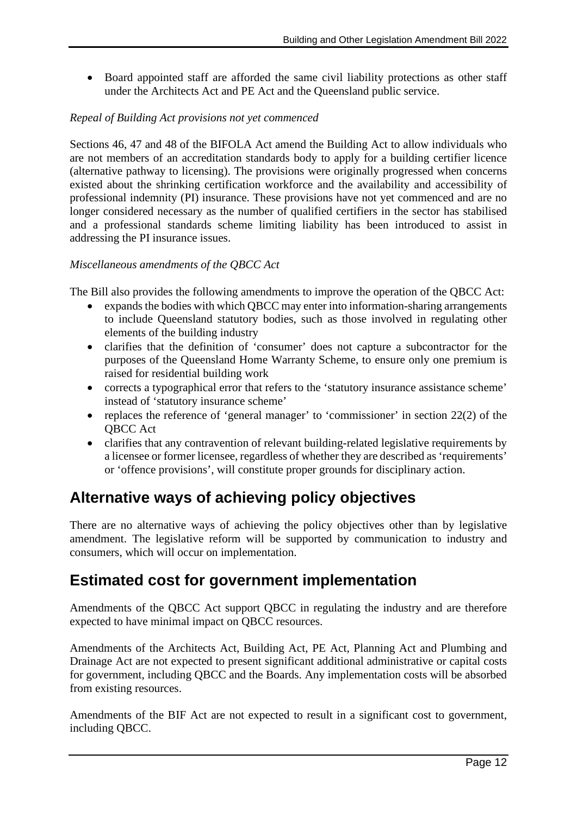• Board appointed staff are afforded the same civil liability protections as other staff under the Architects Act and PE Act and the Queensland public service.

# *Repeal of Building Act provisions not yet commenced*

Sections 46, 47 and 48 of the BIFOLA Act amend the Building Act to allow individuals who are not members of an accreditation standards body to apply for a building certifier licence (alternative pathway to licensing). The provisions were originally progressed when concerns existed about the shrinking certification workforce and the availability and accessibility of professional indemnity (PI) insurance. These provisions have not yet commenced and are no longer considered necessary as the number of qualified certifiers in the sector has stabilised and a professional standards scheme limiting liability has been introduced to assist in addressing the PI insurance issues.

#### *Miscellaneous amendments of the QBCC Act*

The Bill also provides the following amendments to improve the operation of the QBCC Act:

- expands the bodies with which QBCC may enter into information-sharing arrangements to include Queensland statutory bodies, such as those involved in regulating other elements of the building industry
- clarifies that the definition of 'consumer' does not capture a subcontractor for the purposes of the Queensland Home Warranty Scheme, to ensure only one premium is raised for residential building work
- corrects a typographical error that refers to the 'statutory insurance assistance scheme' instead of 'statutory insurance scheme'
- replaces the reference of 'general manager' to 'commissioner' in section 22(2) of the QBCC Act
- clarifies that any contravention of relevant building-related legislative requirements by a licensee or former licensee, regardless of whether they are described as 'requirements' or 'offence provisions', will constitute proper grounds for disciplinary action.

# **Alternative ways of achieving policy objectives**

There are no alternative ways of achieving the policy objectives other than by legislative amendment. The legislative reform will be supported by communication to industry and consumers, which will occur on implementation.

# **Estimated cost for government implementation**

Amendments of the QBCC Act support QBCC in regulating the industry and are therefore expected to have minimal impact on QBCC resources.

Amendments of the Architects Act, Building Act, PE Act, Planning Act and Plumbing and Drainage Act are not expected to present significant additional administrative or capital costs for government, including QBCC and the Boards. Any implementation costs will be absorbed from existing resources.

Amendments of the BIF Act are not expected to result in a significant cost to government, including QBCC.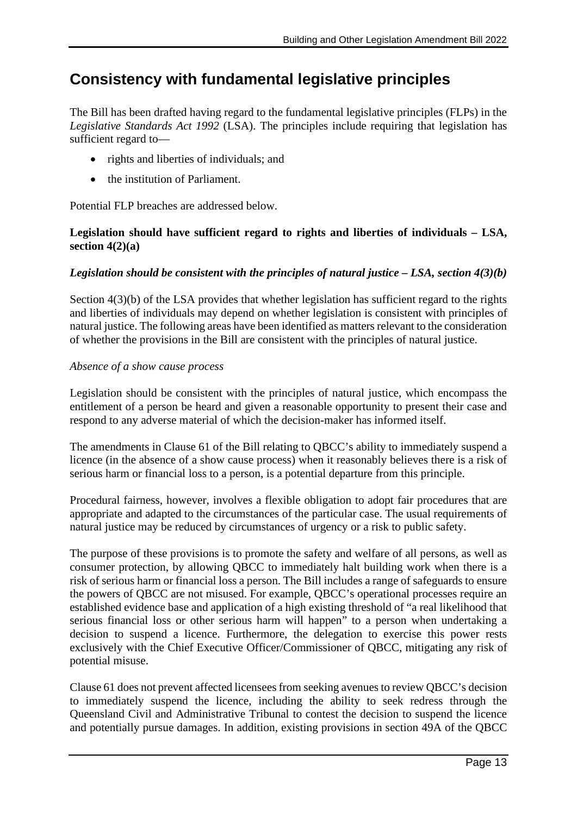# **Consistency with fundamental legislative principles**

The Bill has been drafted having regard to the fundamental legislative principles (FLPs) in the *Legislative Standards Act 1992* (LSA). The principles include requiring that legislation has sufficient regard to—

- rights and liberties of individuals; and
- the institution of Parliament.

Potential FLP breaches are addressed below.

# **Legislation should have sufficient regard to rights and liberties of individuals – LSA, section 4(2)(a)**

# *Legislation should be consistent with the principles of natural justice – LSA, section 4(3)(b)*

Section 4(3)(b) of the LSA provides that whether legislation has sufficient regard to the rights and liberties of individuals may depend on whether legislation is consistent with principles of natural justice. The following areas have been identified as matters relevant to the consideration of whether the provisions in the Bill are consistent with the principles of natural justice.

#### *Absence of a show cause process*

Legislation should be consistent with the principles of natural justice, which encompass the entitlement of a person be heard and given a reasonable opportunity to present their case and respond to any adverse material of which the decision-maker has informed itself.

The amendments in Clause 61 of the Bill relating to QBCC's ability to immediately suspend a licence (in the absence of a show cause process) when it reasonably believes there is a risk of serious harm or financial loss to a person, is a potential departure from this principle.

Procedural fairness, however, involves a flexible obligation to adopt fair procedures that are appropriate and adapted to the circumstances of the particular case. The usual requirements of natural justice may be reduced by circumstances of urgency or a risk to public safety.

The purpose of these provisions is to promote the safety and welfare of all persons, as well as consumer protection, by allowing QBCC to immediately halt building work when there is a risk of serious harm or financial loss a person. The Bill includes a range of safeguards to ensure the powers of QBCC are not misused. For example, QBCC's operational processes require an established evidence base and application of a high existing threshold of "a real likelihood that serious financial loss or other serious harm will happen" to a person when undertaking a decision to suspend a licence. Furthermore, the delegation to exercise this power rests exclusively with the Chief Executive Officer/Commissioner of QBCC, mitigating any risk of potential misuse.

Clause 61 does not prevent affected licensees from seeking avenues to review QBCC's decision to immediately suspend the licence, including the ability to seek redress through the Queensland Civil and Administrative Tribunal to contest the decision to suspend the licence and potentially pursue damages. In addition, existing provisions in section 49A of the QBCC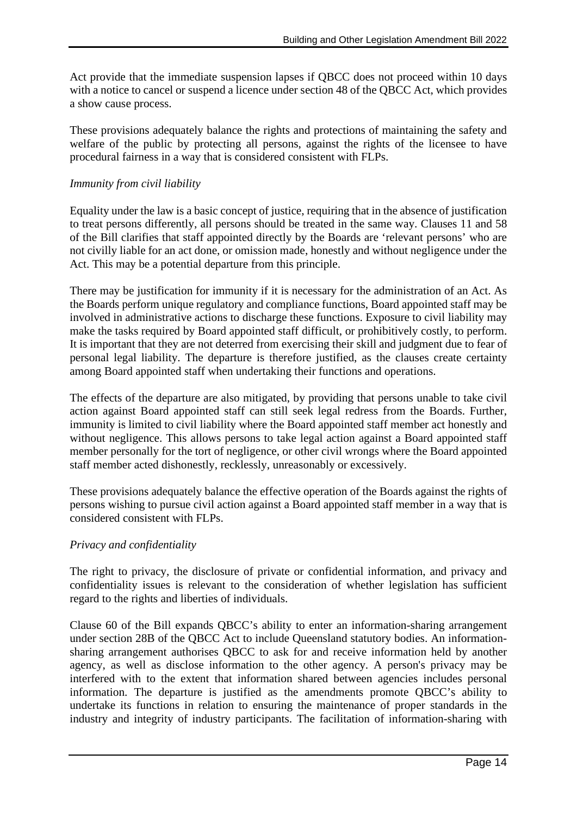Act provide that the immediate suspension lapses if QBCC does not proceed within 10 days with a notice to cancel or suspend a licence under section 48 of the QBCC Act, which provides a show cause process.

These provisions adequately balance the rights and protections of maintaining the safety and welfare of the public by protecting all persons, against the rights of the licensee to have procedural fairness in a way that is considered consistent with FLPs.

#### *Immunity from civil liability*

Equality under the law is a basic concept of justice, requiring that in the absence of justification to treat persons differently, all persons should be treated in the same way. Clauses 11 and 58 of the Bill clarifies that staff appointed directly by the Boards are 'relevant persons' who are not civilly liable for an act done, or omission made, honestly and without negligence under the Act. This may be a potential departure from this principle.

There may be justification for immunity if it is necessary for the administration of an Act. As the Boards perform unique regulatory and compliance functions, Board appointed staff may be involved in administrative actions to discharge these functions. Exposure to civil liability may make the tasks required by Board appointed staff difficult, or prohibitively costly, to perform. It is important that they are not deterred from exercising their skill and judgment due to fear of personal legal liability. The departure is therefore justified, as the clauses create certainty among Board appointed staff when undertaking their functions and operations.

The effects of the departure are also mitigated, by providing that persons unable to take civil action against Board appointed staff can still seek legal redress from the Boards. Further, immunity is limited to civil liability where the Board appointed staff member act honestly and without negligence. This allows persons to take legal action against a Board appointed staff member personally for the tort of negligence, or other civil wrongs where the Board appointed staff member acted dishonestly, recklessly, unreasonably or excessively.

These provisions adequately balance the effective operation of the Boards against the rights of persons wishing to pursue civil action against a Board appointed staff member in a way that is considered consistent with FLPs.

#### *Privacy and confidentiality*

The right to privacy, the disclosure of private or confidential information, and privacy and confidentiality issues is relevant to the consideration of whether legislation has sufficient regard to the rights and liberties of individuals.

Clause 60 of the Bill expands QBCC's ability to enter an information-sharing arrangement under section 28B of the QBCC Act to include Queensland statutory bodies. An informationsharing arrangement authorises QBCC to ask for and receive information held by another agency, as well as disclose information to the other agency. A person's privacy may be interfered with to the extent that information shared between agencies includes personal information. The departure is justified as the amendments promote QBCC's ability to undertake its functions in relation to ensuring the maintenance of proper standards in the industry and integrity of industry participants. The facilitation of information-sharing with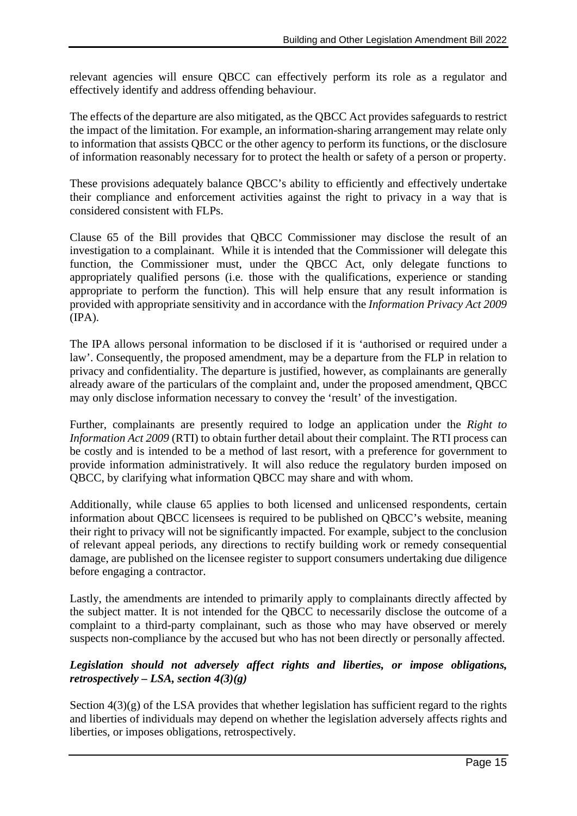relevant agencies will ensure QBCC can effectively perform its role as a regulator and effectively identify and address offending behaviour.

The effects of the departure are also mitigated, as the QBCC Act provides safeguards to restrict the impact of the limitation. For example, an information-sharing arrangement may relate only to information that assists QBCC or the other agency to perform its functions, or the disclosure of information reasonably necessary for to protect the health or safety of a person or property.

These provisions adequately balance QBCC's ability to efficiently and effectively undertake their compliance and enforcement activities against the right to privacy in a way that is considered consistent with FLPs.

Clause 65 of the Bill provides that QBCC Commissioner may disclose the result of an investigation to a complainant. While it is intended that the Commissioner will delegate this function, the Commissioner must, under the QBCC Act, only delegate functions to appropriately qualified persons (i.e. those with the qualifications, experience or standing appropriate to perform the function). This will help ensure that any result information is provided with appropriate sensitivity and in accordance with the *Information Privacy Act 2009* (IPA).

The IPA allows personal information to be disclosed if it is 'authorised or required under a law'. Consequently, the proposed amendment, may be a departure from the FLP in relation to privacy and confidentiality. The departure is justified, however, as complainants are generally already aware of the particulars of the complaint and, under the proposed amendment, QBCC may only disclose information necessary to convey the 'result' of the investigation.

Further, complainants are presently required to lodge an application under the *Right to Information Act 2009* (RTI) to obtain further detail about their complaint. The RTI process can be costly and is intended to be a method of last resort, with a preference for government to provide information administratively. It will also reduce the regulatory burden imposed on QBCC, by clarifying what information QBCC may share and with whom.

Additionally, while clause 65 applies to both licensed and unlicensed respondents, certain information about QBCC licensees is required to be published on QBCC's website, meaning their right to privacy will not be significantly impacted. For example, subject to the conclusion of relevant appeal periods, any directions to rectify building work or remedy consequential damage, are published on the licensee register to support consumers undertaking due diligence before engaging a contractor.

Lastly, the amendments are intended to primarily apply to complainants directly affected by the subject matter. It is not intended for the QBCC to necessarily disclose the outcome of a complaint to a third-party complainant, such as those who may have observed or merely suspects non-compliance by the accused but who has not been directly or personally affected.

# *Legislation should not adversely affect rights and liberties, or impose obligations, retrospectively – LSA, section 4(3)(g)*

Section  $4(3)(g)$  of the LSA provides that whether legislation has sufficient regard to the rights and liberties of individuals may depend on whether the legislation adversely affects rights and liberties, or imposes obligations, retrospectively.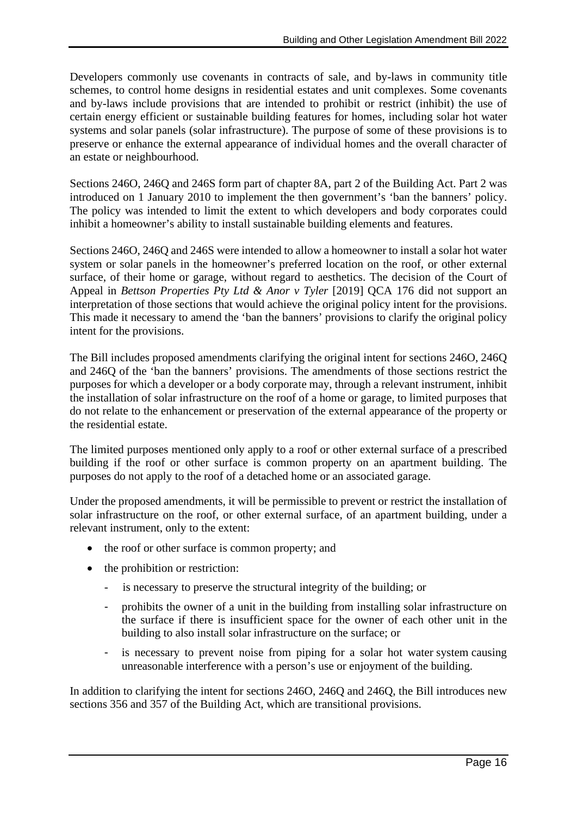Developers commonly use covenants in contracts of sale, and by-laws in community title schemes, to control home designs in residential estates and unit complexes. Some covenants and by-laws include provisions that are intended to prohibit or restrict (inhibit) the use of certain energy efficient or sustainable building features for homes, including solar hot water systems and solar panels (solar infrastructure). The purpose of some of these provisions is to preserve or enhance the external appearance of individual homes and the overall character of an estate or neighbourhood.

Sections 246O, 246Q and 246S form part of chapter 8A, part 2 of the Building Act. Part 2 was introduced on 1 January 2010 to implement the then government's 'ban the banners' policy. The policy was intended to limit the extent to which developers and body corporates could inhibit a homeowner's ability to install sustainable building elements and features.

Sections 246O, 246Q and 246S were intended to allow a homeowner to install a solar hot water system or solar panels in the homeowner's preferred location on the roof, or other external surface, of their home or garage, without regard to aesthetics. The decision of the Court of Appeal in *Bettson Properties Pty Ltd & Anor v Tyler* [2019] QCA 176 did not support an interpretation of those sections that would achieve the original policy intent for the provisions. This made it necessary to amend the 'ban the banners' provisions to clarify the original policy intent for the provisions.

The Bill includes proposed amendments clarifying the original intent for sections 246O, 246Q and 246Q of the 'ban the banners' provisions. The amendments of those sections restrict the purposes for which a developer or a body corporate may, through a relevant instrument, inhibit the installation of solar infrastructure on the roof of a home or garage, to limited purposes that do not relate to the enhancement or preservation of the external appearance of the property or the residential estate.

The limited purposes mentioned only apply to a roof or other external surface of a prescribed building if the roof or other surface is common property on an apartment building. The purposes do not apply to the roof of a detached home or an associated garage.

Under the proposed amendments, it will be permissible to prevent or restrict the installation of solar infrastructure on the roof, or other external surface, of an apartment building, under a relevant instrument, only to the extent:

- the roof or other surface is common property; and
- the prohibition or restriction:
	- is necessary to preserve the structural integrity of the building; or
	- prohibits the owner of a unit in the building from installing solar infrastructure on the surface if there is insufficient space for the owner of each other unit in the building to also install solar infrastructure on the surface; or
	- is necessary to prevent noise from piping for a solar hot water system causing unreasonable interference with a person's use or enjoyment of the building.

In addition to clarifying the intent for sections 246O, 246Q and 246Q, the Bill introduces new sections 356 and 357 of the Building Act, which are transitional provisions.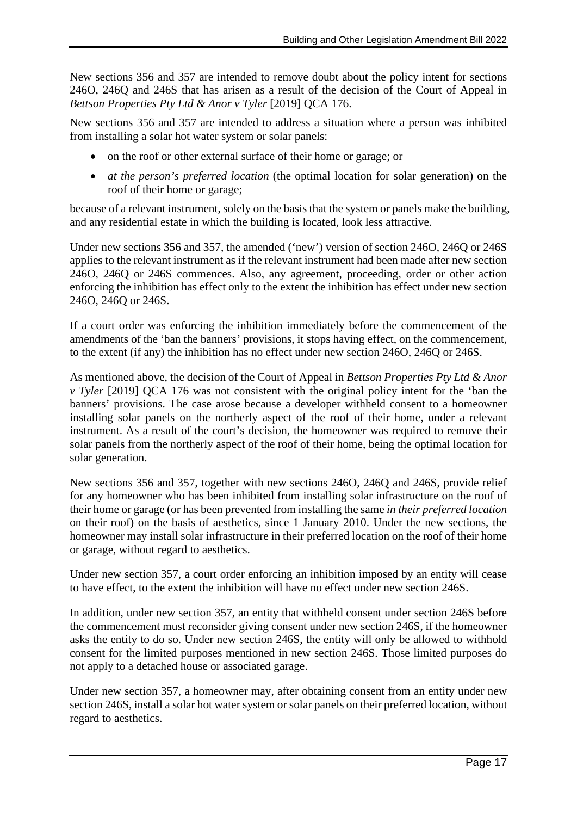New sections 356 and 357 are intended to remove doubt about the policy intent for sections 246O, 246Q and 246S that has arisen as a result of the decision of the Court of Appeal in *Bettson Properties Pty Ltd & Anor v Tyler* [2019] QCA 176.

New sections 356 and 357 are intended to address a situation where a person was inhibited from installing a solar hot water system or solar panels:

- on the roof or other external surface of their home or garage; or
- *at the person's preferred location* (the optimal location for solar generation) on the roof of their home or garage;

because of a relevant instrument, solely on the basis that the system or panels make the building, and any residential estate in which the building is located, look less attractive.

Under new sections 356 and 357, the amended ('new') version of section 246O, 246Q or 246S applies to the relevant instrument as if the relevant instrument had been made after new section 246O, 246Q or 246S commences. Also, any agreement, proceeding, order or other action enforcing the inhibition has effect only to the extent the inhibition has effect under new section 246O, 246Q or 246S.

If a court order was enforcing the inhibition immediately before the commencement of the amendments of the 'ban the banners' provisions, it stops having effect, on the commencement, to the extent (if any) the inhibition has no effect under new section 246O, 246Q or 246S.

As mentioned above, the decision of the Court of Appeal in *Bettson Properties Pty Ltd & Anor v Tyler* [2019] QCA 176 was not consistent with the original policy intent for the 'ban the banners' provisions. The case arose because a developer withheld consent to a homeowner installing solar panels on the northerly aspect of the roof of their home, under a relevant instrument. As a result of the court's decision, the homeowner was required to remove their solar panels from the northerly aspect of the roof of their home, being the optimal location for solar generation.

New sections 356 and 357, together with new sections 246O, 246Q and 246S, provide relief for any homeowner who has been inhibited from installing solar infrastructure on the roof of their home or garage (or has been prevented from installing the same *in their preferred location* on their roof) on the basis of aesthetics, since 1 January 2010. Under the new sections, the homeowner may install solar infrastructure in their preferred location on the roof of their home or garage, without regard to aesthetics.

Under new section 357, a court order enforcing an inhibition imposed by an entity will cease to have effect, to the extent the inhibition will have no effect under new section 246S.

In addition, under new section 357, an entity that withheld consent under section 246S before the commencement must reconsider giving consent under new section 246S, if the homeowner asks the entity to do so. Under new section 246S, the entity will only be allowed to withhold consent for the limited purposes mentioned in new section 246S. Those limited purposes do not apply to a detached house or associated garage.

Under new section 357, a homeowner may, after obtaining consent from an entity under new section 246S, install a solar hot water system or solar panels on their preferred location, without regard to aesthetics.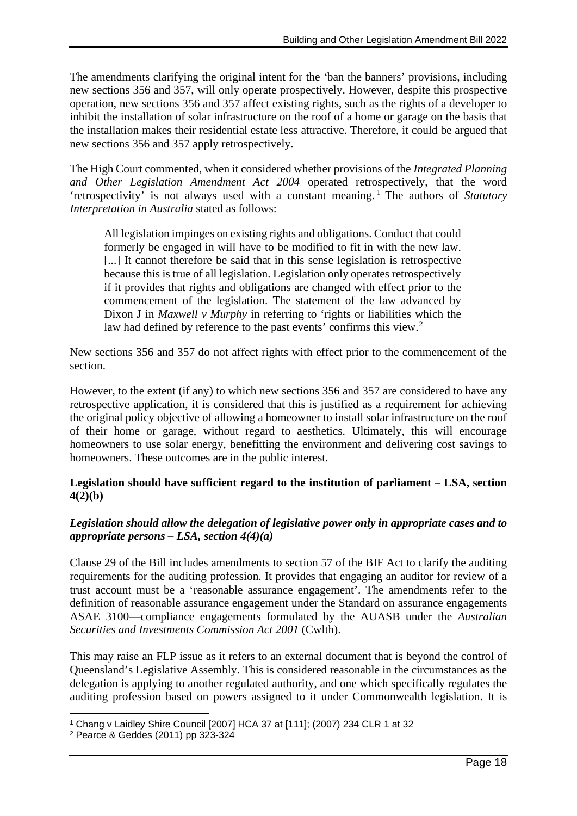The amendments clarifying the original intent for the *'*ban the banners' provisions, including new sections 356 and 357, will only operate prospectively. However, despite this prospective operation, new sections 356 and 357 affect existing rights, such as the rights of a developer to inhibit the installation of solar infrastructure on the roof of a home or garage on the basis that the installation makes their residential estate less attractive. Therefore, it could be argued that new sections 356 and 357 apply retrospectively.

The High Court commented, when it considered whether provisions of the *Integrated Planning and Other Legislation Amendment Act 2004* operated retrospectively, that the word 'retrospectivity' is not always used with a constant meaning.<sup>[1](#page-17-0)</sup> The authors of *Statutory Interpretation in Australia* stated as follows:

All legislation impinges on existing rights and obligations. Conduct that could formerly be engaged in will have to be modified to fit in with the new law. [...] It cannot therefore be said that in this sense legislation is retrospective because this is true of all legislation. Legislation only operates retrospectively if it provides that rights and obligations are changed with effect prior to the commencement of the legislation. The statement of the law advanced by Dixon J in *Maxwell v Murphy* in referring to 'rights or liabilities which the law had defined by reference to the past events' confirms this view.<sup>[2](#page-17-1)</sup>

New sections 356 and 357 do not affect rights with effect prior to the commencement of the section.

However, to the extent (if any) to which new sections 356 and 357 are considered to have any retrospective application, it is considered that this is justified as a requirement for achieving the original policy objective of allowing a homeowner to install solar infrastructure on the roof of their home or garage, without regard to aesthetics. Ultimately, this will encourage homeowners to use solar energy, benefitting the environment and delivering cost savings to homeowners. These outcomes are in the public interest.

#### **Legislation should have sufficient regard to the institution of parliament – LSA, section 4(2)(b)**

# *Legislation should allow the delegation of legislative power only in appropriate cases and to appropriate persons – LSA, section 4(4)(a)*

Clause 29 of the Bill includes amendments to section 57 of the BIF Act to clarify the auditing requirements for the auditing profession. It provides that engaging an auditor for review of a trust account must be a 'reasonable assurance engagement'. The amendments refer to the definition of reasonable assurance engagement under the Standard on assurance engagements ASAE 3100—compliance engagements formulated by the AUASB under the *Australian Securities and Investments Commission Act 2001* (Cwlth).

This may raise an FLP issue as it refers to an external document that is beyond the control of Queensland's Legislative Assembly. This is considered reasonable in the circumstances as the delegation is applying to another regulated authority, and one which specifically regulates the auditing profession based on powers assigned to it under Commonwealth legislation. It is

<span id="page-17-0"></span><sup>1</sup> Chang v Laidley Shire Council [2007] HCA 37 at [111]; (2007) 234 CLR 1 at 32

<span id="page-17-1"></span><sup>2</sup> Pearce & Geddes (2011) pp 323-324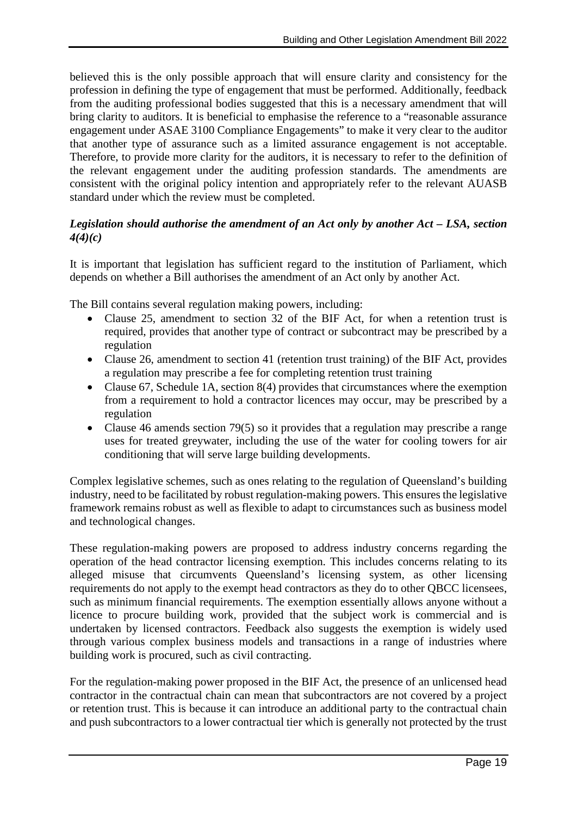believed this is the only possible approach that will ensure clarity and consistency for the profession in defining the type of engagement that must be performed. Additionally, feedback from the auditing professional bodies suggested that this is a necessary amendment that will bring clarity to auditors. It is beneficial to emphasise the reference to a "reasonable assurance engagement under ASAE 3100 Compliance Engagements" to make it very clear to the auditor that another type of assurance such as a limited assurance engagement is not acceptable. Therefore, to provide more clarity for the auditors, it is necessary to refer to the definition of the relevant engagement under the auditing profession standards. The amendments are consistent with the original policy intention and appropriately refer to the relevant AUASB standard under which the review must be completed.

### *Legislation should authorise the amendment of an Act only by another Act – LSA, section 4(4)(c)*

It is important that legislation has sufficient regard to the institution of Parliament, which depends on whether a Bill authorises the amendment of an Act only by another Act.

The Bill contains several regulation making powers, including:

- Clause 25, amendment to section 32 of the BIF Act, for when a retention trust is required, provides that another type of contract or subcontract may be prescribed by a regulation
- Clause 26, amendment to section 41 (retention trust training) of the BIF Act, provides a regulation may prescribe a fee for completing retention trust training
- Clause 67, Schedule 1A, section 8(4) provides that circumstances where the exemption from a requirement to hold a contractor licences may occur, may be prescribed by a regulation
- Clause 46 amends section 79(5) so it provides that a regulation may prescribe a range uses for treated greywater, including the use of the water for cooling towers for air conditioning that will serve large building developments.

Complex legislative schemes, such as ones relating to the regulation of Queensland's building industry, need to be facilitated by robust regulation-making powers. This ensures the legislative framework remains robust as well as flexible to adapt to circumstances such as business model and technological changes.

These regulation-making powers are proposed to address industry concerns regarding the operation of the head contractor licensing exemption. This includes concerns relating to its alleged misuse that circumvents Queensland's licensing system, as other licensing requirements do not apply to the exempt head contractors as they do to other QBCC licensees, such as minimum financial requirements. The exemption essentially allows anyone without a licence to procure building work, provided that the subject work is commercial and is undertaken by licensed contractors. Feedback also suggests the exemption is widely used through various complex business models and transactions in a range of industries where building work is procured, such as civil contracting.

For the regulation-making power proposed in the BIF Act, the presence of an unlicensed head contractor in the contractual chain can mean that subcontractors are not covered by a project or retention trust. This is because it can introduce an additional party to the contractual chain and push subcontractors to a lower contractual tier which is generally not protected by the trust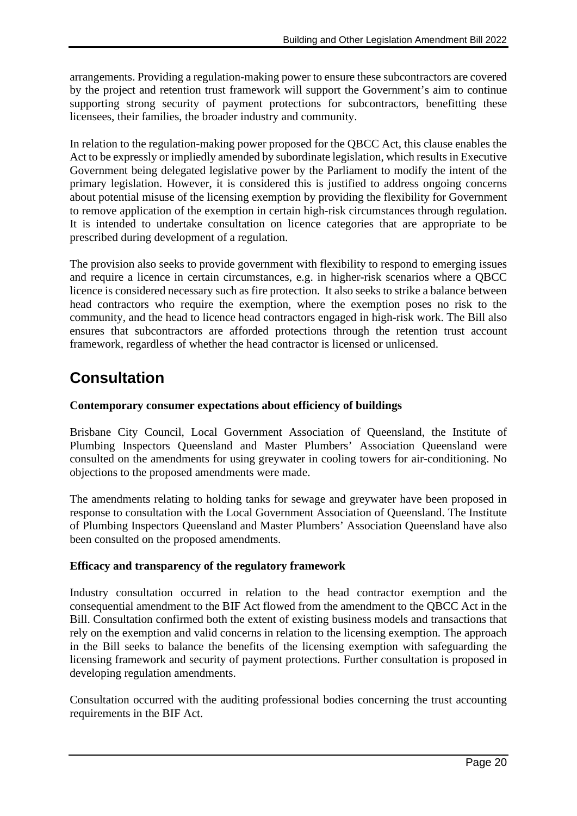arrangements. Providing a regulation-making power to ensure these subcontractors are covered by the project and retention trust framework will support the Government's aim to continue supporting strong security of payment protections for subcontractors, benefitting these licensees, their families, the broader industry and community.

In relation to the regulation-making power proposed for the QBCC Act, this clause enables the Act to be expressly or impliedly amended by subordinate legislation, which results in Executive Government being delegated legislative power by the Parliament to modify the intent of the primary legislation. However, it is considered this is justified to address ongoing concerns about potential misuse of the licensing exemption by providing the flexibility for Government to remove application of the exemption in certain high-risk circumstances through regulation. It is intended to undertake consultation on licence categories that are appropriate to be prescribed during development of a regulation.

The provision also seeks to provide government with flexibility to respond to emerging issues and require a licence in certain circumstances, e.g. in higher-risk scenarios where a QBCC licence is considered necessary such as fire protection. It also seeks to strike a balance between head contractors who require the exemption, where the exemption poses no risk to the community, and the head to licence head contractors engaged in high-risk work. The Bill also ensures that subcontractors are afforded protections through the retention trust account framework, regardless of whether the head contractor is licensed or unlicensed.

# **Consultation**

### **Contemporary consumer expectations about efficiency of buildings**

Brisbane City Council, Local Government Association of Queensland, the Institute of Plumbing Inspectors Queensland and Master Plumbers' Association Queensland were consulted on the amendments for using greywater in cooling towers for air-conditioning. No objections to the proposed amendments were made.

The amendments relating to holding tanks for sewage and greywater have been proposed in response to consultation with the Local Government Association of Queensland. The Institute of Plumbing Inspectors Queensland and Master Plumbers' Association Queensland have also been consulted on the proposed amendments.

#### **Efficacy and transparency of the regulatory framework**

Industry consultation occurred in relation to the head contractor exemption and the consequential amendment to the BIF Act flowed from the amendment to the QBCC Act in the Bill. Consultation confirmed both the extent of existing business models and transactions that rely on the exemption and valid concerns in relation to the licensing exemption. The approach in the Bill seeks to balance the benefits of the licensing exemption with safeguarding the licensing framework and security of payment protections. Further consultation is proposed in developing regulation amendments.

Consultation occurred with the auditing professional bodies concerning the trust accounting requirements in the BIF Act.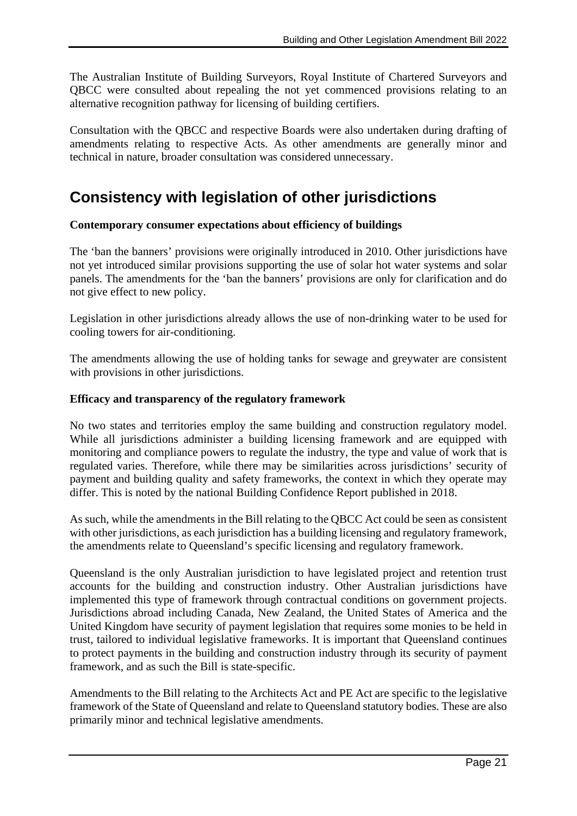The Australian Institute of Building Surveyors, Royal Institute of Chartered Surveyors and QBCC were consulted about repealing the not yet commenced provisions relating to an alternative recognition pathway for licensing of building certifiers.

Consultation with the QBCC and respective Boards were also undertaken during drafting of amendments relating to respective Acts. As other amendments are generally minor and technical in nature, broader consultation was considered unnecessary.

# **Consistency with legislation of other jurisdictions**

#### **Contemporary consumer expectations about efficiency of buildings**

The 'ban the banners' provisions were originally introduced in 2010. Other jurisdictions have not yet introduced similar provisions supporting the use of solar hot water systems and solar panels. The amendments for the 'ban the banners' provisions are only for clarification and do not give effect to new policy.

Legislation in other jurisdictions already allows the use of non-drinking water to be used for cooling towers for air-conditioning.

The amendments allowing the use of holding tanks for sewage and greywater are consistent with provisions in other jurisdictions.

# **Efficacy and transparency of the regulatory framework**

No two states and territories employ the same building and construction regulatory model. While all jurisdictions administer a building licensing framework and are equipped with monitoring and compliance powers to regulate the industry, the type and value of work that is regulated varies. Therefore, while there may be similarities across jurisdictions' security of payment and building quality and safety frameworks, the context in which they operate may differ. This is noted by the national Building Confidence Report published in 2018.

As such, while the amendments in the Bill relating to the QBCC Act could be seen as consistent with other jurisdictions, as each jurisdiction has a building licensing and regulatory framework, the amendments relate to Queensland's specific licensing and regulatory framework.

Queensland is the only Australian jurisdiction to have legislated project and retention trust accounts for the building and construction industry. Other Australian jurisdictions have implemented this type of framework through contractual conditions on government projects. Jurisdictions abroad including Canada, New Zealand, the United States of America and the United Kingdom have security of payment legislation that requires some monies to be held in trust, tailored to individual legislative frameworks. It is important that Queensland continues to protect payments in the building and construction industry through its security of payment framework, and as such the Bill is state-specific.

Amendments to the Bill relating to the Architects Act and PE Act are specific to the legislative framework of the State of Queensland and relate to Queensland statutory bodies. These are also primarily minor and technical legislative amendments.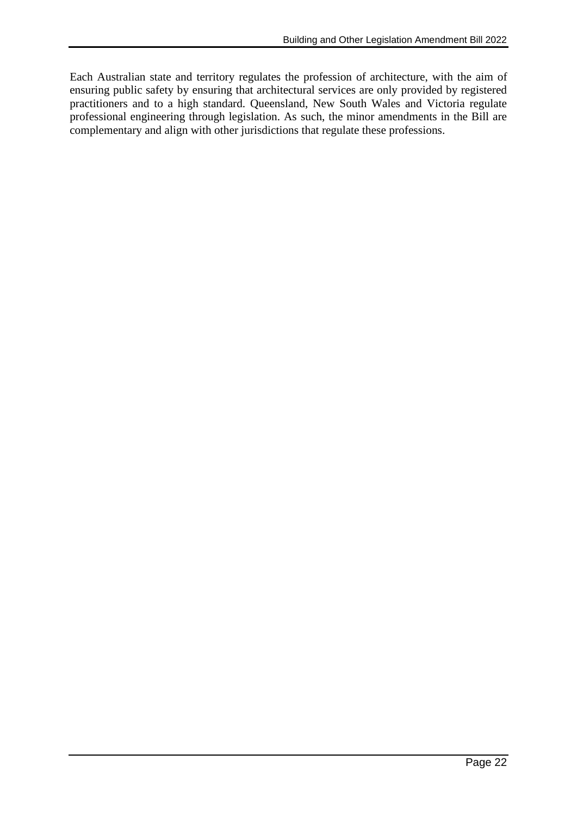Each Australian state and territory regulates the profession of architecture, with the aim of ensuring public safety by ensuring that architectural services are only provided by registered practitioners and to a high standard. Queensland, New South Wales and Victoria regulate professional engineering through legislation. As such, the minor amendments in the Bill are complementary and align with other jurisdictions that regulate these professions.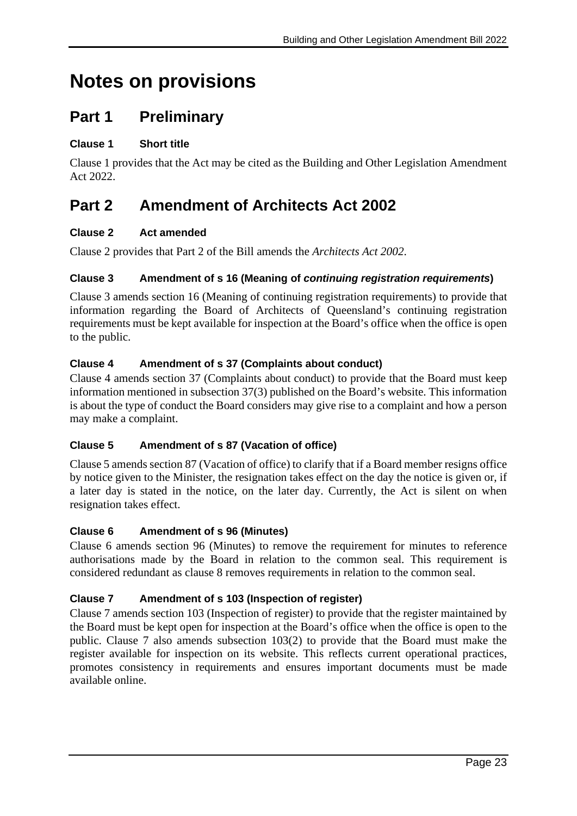# **Notes on provisions**

# **Part 1 Preliminary**

# **Clause 1 Short title**

Clause 1 provides that the Act may be cited as the Building and Other Legislation Amendment Act 2022.

# **Part 2 Amendment of Architects Act 2002**

# **Clause 2 Act amended**

Clause 2 provides that Part 2 of the Bill amends the *Architects Act 2002*.

# **Clause 3 Amendment of s 16 (Meaning of** *continuing registration requirements***)**

Clause 3 amends section 16 (Meaning of continuing registration requirements) to provide that information regarding the Board of Architects of Queensland's continuing registration requirements must be kept available for inspection at the Board's office when the office is open to the public.

# **Clause 4 Amendment of s 37 (Complaints about conduct)**

Clause 4 amends section 37 (Complaints about conduct) to provide that the Board must keep information mentioned in subsection 37(3) published on the Board's website. This information is about the type of conduct the Board considers may give rise to a complaint and how a person may make a complaint.

# **Clause 5 Amendment of s 87 (Vacation of office)**

Clause 5 amends section 87 (Vacation of office) to clarify that if a Board member resigns office by notice given to the Minister, the resignation takes effect on the day the notice is given or, if a later day is stated in the notice, on the later day. Currently, the Act is silent on when resignation takes effect.

#### **Clause 6 Amendment of s 96 (Minutes)**

Clause 6 amends section 96 (Minutes) to remove the requirement for minutes to reference authorisations made by the Board in relation to the common seal. This requirement is considered redundant as clause 8 removes requirements in relation to the common seal.

# **Clause 7 Amendment of s 103 (Inspection of register)**

Clause 7 amends section 103 (Inspection of register) to provide that the register maintained by the Board must be kept open for inspection at the Board's office when the office is open to the public. Clause 7 also amends subsection 103(2) to provide that the Board must make the register available for inspection on its website. This reflects current operational practices, promotes consistency in requirements and ensures important documents must be made available online.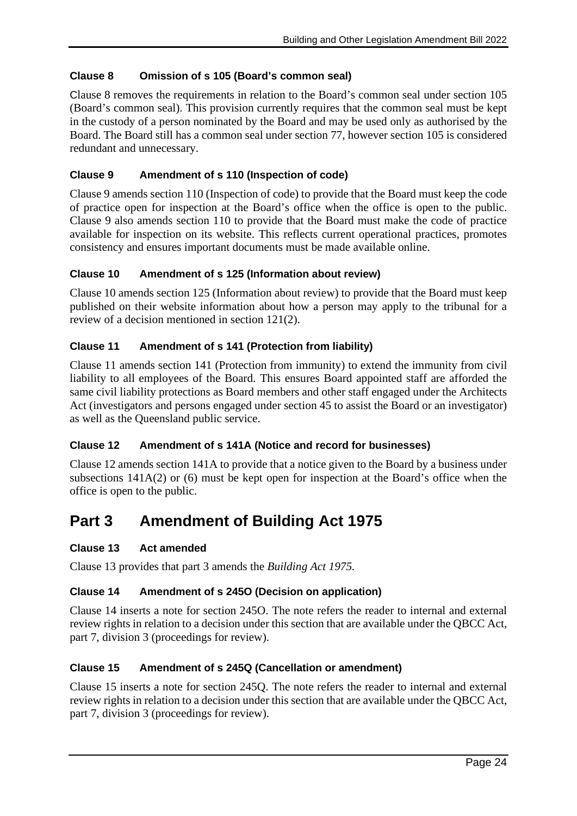### **Clause 8 Omission of s 105 (Board's common seal)**

Clause 8 removes the requirements in relation to the Board's common seal under section 105 (Board's common seal). This provision currently requires that the common seal must be kept in the custody of a person nominated by the Board and may be used only as authorised by the Board. The Board still has a common seal under section 77, however section 105 is considered redundant and unnecessary.

#### **Clause 9 Amendment of s 110 (Inspection of code)**

Clause 9 amends section 110 (Inspection of code) to provide that the Board must keep the code of practice open for inspection at the Board's office when the office is open to the public. Clause 9 also amends section 110 to provide that the Board must make the code of practice available for inspection on its website. This reflects current operational practices, promotes consistency and ensures important documents must be made available online.

#### **Clause 10 Amendment of s 125 (Information about review)**

Clause 10 amends section 125 (Information about review) to provide that the Board must keep published on their website information about how a person may apply to the tribunal for a review of a decision mentioned in section 121(2).

#### **Clause 11 Amendment of s 141 (Protection from liability)**

Clause 11 amends section 141 (Protection from immunity) to extend the immunity from civil liability to all employees of the Board. This ensures Board appointed staff are afforded the same civil liability protections as Board members and other staff engaged under the Architects Act (investigators and persons engaged under section 45 to assist the Board or an investigator) as well as the Queensland public service.

#### **Clause 12 Amendment of s 141A (Notice and record for businesses)**

Clause 12 amends section 141A to provide that a notice given to the Board by a business under subsections 141A(2) or (6) must be kept open for inspection at the Board's office when the office is open to the public.

# **Part 3 Amendment of Building Act 1975**

#### **Clause 13 Act amended**

Clause 13 provides that part 3 amends the *Building Act 1975.*

#### **Clause 14 Amendment of s 245O (Decision on application)**

Clause 14 inserts a note for section 245O. The note refers the reader to internal and external review rights in relation to a decision under this section that are available under the QBCC Act, part 7, division 3 (proceedings for review).

#### **Clause 15 Amendment of s 245Q (Cancellation or amendment)**

Clause 15 inserts a note for section 245Q. The note refers the reader to internal and external review rights in relation to a decision under this section that are available under the QBCC Act, part 7, division 3 (proceedings for review).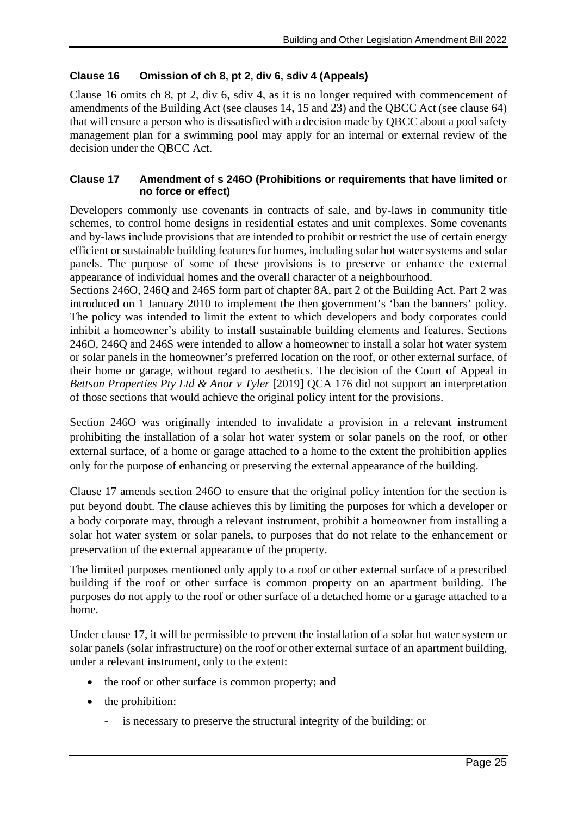#### **Clause 16 Omission of ch 8, pt 2, div 6, sdiv 4 (Appeals)**

Clause 16 omits ch 8, pt 2, div 6, sdiv 4, as it is no longer required with commencement of amendments of the Building Act (see clauses 14, 15 and 23) and the QBCC Act (see clause 64) that will ensure a person who is dissatisfied with a decision made by QBCC about a pool safety management plan for a swimming pool may apply for an internal or external review of the decision under the QBCC Act.

#### **Clause 17 Amendment of s 246O (Prohibitions or requirements that have limited or no force or effect)**

Developers commonly use covenants in contracts of sale, and by-laws in community title schemes, to control home designs in residential estates and unit complexes. Some covenants and by-laws include provisions that are intended to prohibit or restrict the use of certain energy efficient or sustainable building features for homes, including solar hot water systems and solar panels. The purpose of some of these provisions is to preserve or enhance the external appearance of individual homes and the overall character of a neighbourhood.

Sections 246O, 246Q and 246S form part of chapter 8A, part 2 of the Building Act. Part 2 was introduced on 1 January 2010 to implement the then government's 'ban the banners' policy. The policy was intended to limit the extent to which developers and body corporates could inhibit a homeowner's ability to install sustainable building elements and features. Sections 246O, 246Q and 246S were intended to allow a homeowner to install a solar hot water system or solar panels in the homeowner's preferred location on the roof, or other external surface, of their home or garage, without regard to aesthetics. The decision of the Court of Appeal in *Bettson Properties Pty Ltd & Anor v Tyler* [2019] QCA 176 did not support an interpretation of those sections that would achieve the original policy intent for the provisions.

Section 246O was originally intended to invalidate a provision in a relevant instrument prohibiting the installation of a solar hot water system or solar panels on the roof, or other external surface, of a home or garage attached to a home to the extent the prohibition applies only for the purpose of enhancing or preserving the external appearance of the building.

Clause 17 amends section 246O to ensure that the original policy intention for the section is put beyond doubt. The clause achieves this by limiting the purposes for which a developer or a body corporate may, through a relevant instrument, prohibit a homeowner from installing a solar hot water system or solar panels, to purposes that do not relate to the enhancement or preservation of the external appearance of the property.

The limited purposes mentioned only apply to a roof or other external surface of a prescribed building if the roof or other surface is common property on an apartment building. The purposes do not apply to the roof or other surface of a detached home or a garage attached to a home.

Under clause 17, it will be permissible to prevent the installation of a solar hot water system or solar panels (solar infrastructure) on the roof or other external surface of an apartment building, under a relevant instrument, only to the extent:

- the roof or other surface is common property; and
- the prohibition:
	- is necessary to preserve the structural integrity of the building; or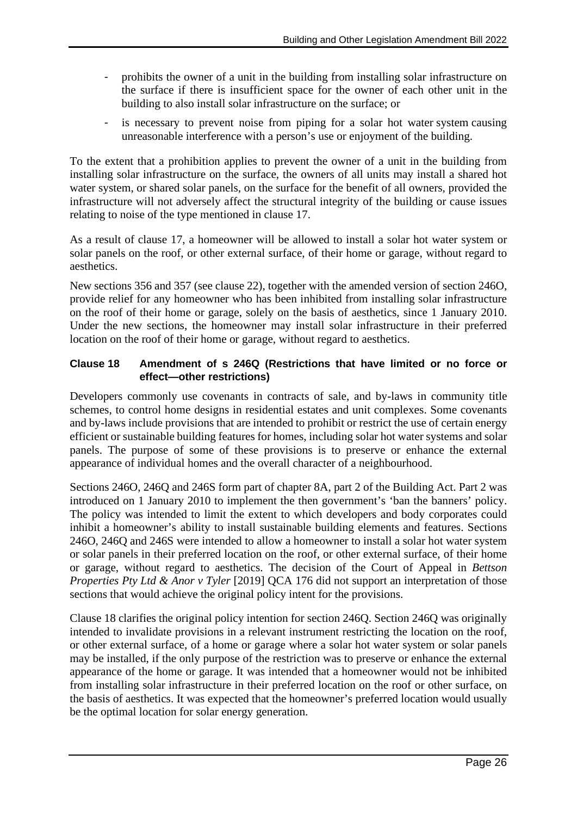- prohibits the owner of a unit in the building from installing solar infrastructure on the surface if there is insufficient space for the owner of each other unit in the building to also install solar infrastructure on the surface; or
- is necessary to prevent noise from piping for a solar hot water system causing unreasonable interference with a person's use or enjoyment of the building.

To the extent that a prohibition applies to prevent the owner of a unit in the building from installing solar infrastructure on the surface, the owners of all units may install a shared hot water system, or shared solar panels, on the surface for the benefit of all owners, provided the infrastructure will not adversely affect the structural integrity of the building or cause issues relating to noise of the type mentioned in clause 17.

As a result of clause 17, a homeowner will be allowed to install a solar hot water system or solar panels on the roof, or other external surface, of their home or garage, without regard to aesthetics.

New sections 356 and 357 (see clause 22), together with the amended version of section 246O, provide relief for any homeowner who has been inhibited from installing solar infrastructure on the roof of their home or garage, solely on the basis of aesthetics, since 1 January 2010. Under the new sections, the homeowner may install solar infrastructure in their preferred location on the roof of their home or garage, without regard to aesthetics.

### **Clause 18 Amendment of s 246Q (Restrictions that have limited or no force or effect—other restrictions)**

Developers commonly use covenants in contracts of sale, and by-laws in community title schemes, to control home designs in residential estates and unit complexes. Some covenants and by-laws include provisions that are intended to prohibit or restrict the use of certain energy efficient or sustainable building features for homes, including solar hot water systems and solar panels. The purpose of some of these provisions is to preserve or enhance the external appearance of individual homes and the overall character of a neighbourhood.

Sections 246O, 246Q and 246S form part of chapter 8A, part 2 of the Building Act. Part 2 was introduced on 1 January 2010 to implement the then government's 'ban the banners' policy. The policy was intended to limit the extent to which developers and body corporates could inhibit a homeowner's ability to install sustainable building elements and features. Sections 246O, 246Q and 246S were intended to allow a homeowner to install a solar hot water system or solar panels in their preferred location on the roof, or other external surface, of their home or garage, without regard to aesthetics. The decision of the Court of Appeal in *Bettson Properties Pty Ltd & Anor v Tyler* [2019] QCA 176 did not support an interpretation of those sections that would achieve the original policy intent for the provisions.

Clause 18 clarifies the original policy intention for section 246Q. Section 246Q was originally intended to invalidate provisions in a relevant instrument restricting the location on the roof, or other external surface, of a home or garage where a solar hot water system or solar panels may be installed, if the only purpose of the restriction was to preserve or enhance the external appearance of the home or garage. It was intended that a homeowner would not be inhibited from installing solar infrastructure in their preferred location on the roof or other surface, on the basis of aesthetics. It was expected that the homeowner's preferred location would usually be the optimal location for solar energy generation.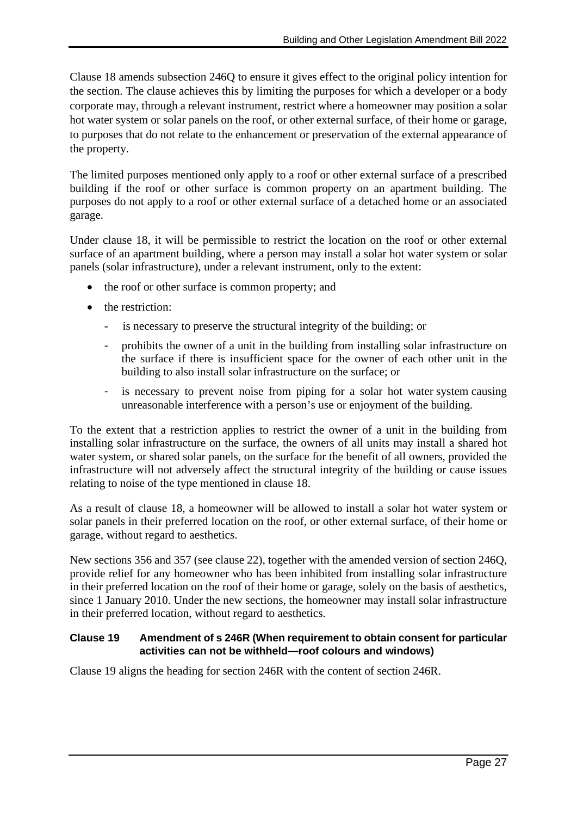Clause 18 amends subsection 246Q to ensure it gives effect to the original policy intention for the section. The clause achieves this by limiting the purposes for which a developer or a body corporate may, through a relevant instrument, restrict where a homeowner may position a solar hot water system or solar panels on the roof, or other external surface, of their home or garage, to purposes that do not relate to the enhancement or preservation of the external appearance of the property.

The limited purposes mentioned only apply to a roof or other external surface of a prescribed building if the roof or other surface is common property on an apartment building. The purposes do not apply to a roof or other external surface of a detached home or an associated garage.

Under clause 18, it will be permissible to restrict the location on the roof or other external surface of an apartment building, where a person may install a solar hot water system or solar panels (solar infrastructure), under a relevant instrument, only to the extent:

- the roof or other surface is common property; and
- the restriction:
	- is necessary to preserve the structural integrity of the building; or
	- prohibits the owner of a unit in the building from installing solar infrastructure on the surface if there is insufficient space for the owner of each other unit in the building to also install solar infrastructure on the surface; or
	- is necessary to prevent noise from piping for a solar hot water system causing unreasonable interference with a person's use or enjoyment of the building.

To the extent that a restriction applies to restrict the owner of a unit in the building from installing solar infrastructure on the surface, the owners of all units may install a shared hot water system, or shared solar panels, on the surface for the benefit of all owners, provided the infrastructure will not adversely affect the structural integrity of the building or cause issues relating to noise of the type mentioned in clause 18.

As a result of clause 18, a homeowner will be allowed to install a solar hot water system or solar panels in their preferred location on the roof, or other external surface, of their home or garage, without regard to aesthetics.

New sections 356 and 357 (see clause 22), together with the amended version of section 246Q, provide relief for any homeowner who has been inhibited from installing solar infrastructure in their preferred location on the roof of their home or garage, solely on the basis of aesthetics, since 1 January 2010. Under the new sections, the homeowner may install solar infrastructure in their preferred location, without regard to aesthetics.

#### **Clause 19 Amendment of s 246R (When requirement to obtain consent for particular activities can not be withheld—roof colours and windows)**

Clause 19 aligns the heading for section 246R with the content of section 246R.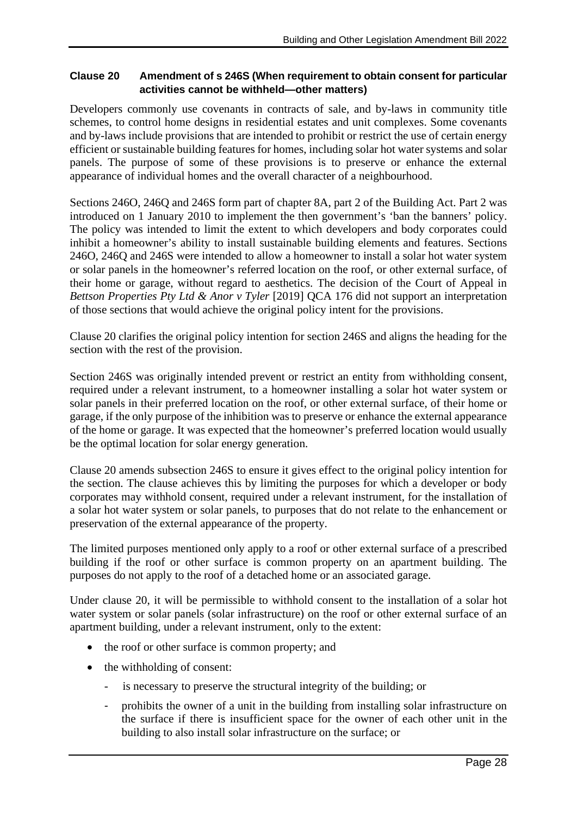#### **Clause 20 Amendment of s 246S (When requirement to obtain consent for particular activities cannot be withheld—other matters)**

Developers commonly use covenants in contracts of sale, and by-laws in community title schemes, to control home designs in residential estates and unit complexes. Some covenants and by-laws include provisions that are intended to prohibit or restrict the use of certain energy efficient or sustainable building features for homes, including solar hot water systems and solar panels. The purpose of some of these provisions is to preserve or enhance the external appearance of individual homes and the overall character of a neighbourhood.

Sections 246O, 246Q and 246S form part of chapter 8A, part 2 of the Building Act. Part 2 was introduced on 1 January 2010 to implement the then government's 'ban the banners' policy. The policy was intended to limit the extent to which developers and body corporates could inhibit a homeowner's ability to install sustainable building elements and features. Sections 246O, 246Q and 246S were intended to allow a homeowner to install a solar hot water system or solar panels in the homeowner's referred location on the roof, or other external surface, of their home or garage, without regard to aesthetics. The decision of the Court of Appeal in *Bettson Properties Pty Ltd & Anor v Tyler* [2019] QCA 176 did not support an interpretation of those sections that would achieve the original policy intent for the provisions.

Clause 20 clarifies the original policy intention for section 246S and aligns the heading for the section with the rest of the provision.

Section 246S was originally intended prevent or restrict an entity from withholding consent, required under a relevant instrument, to a homeowner installing a solar hot water system or solar panels in their preferred location on the roof, or other external surface, of their home or garage, if the only purpose of the inhibition was to preserve or enhance the external appearance of the home or garage. It was expected that the homeowner's preferred location would usually be the optimal location for solar energy generation.

Clause 20 amends subsection 246S to ensure it gives effect to the original policy intention for the section. The clause achieves this by limiting the purposes for which a developer or body corporates may withhold consent, required under a relevant instrument, for the installation of a solar hot water system or solar panels, to purposes that do not relate to the enhancement or preservation of the external appearance of the property.

The limited purposes mentioned only apply to a roof or other external surface of a prescribed building if the roof or other surface is common property on an apartment building. The purposes do not apply to the roof of a detached home or an associated garage.

Under clause 20, it will be permissible to withhold consent to the installation of a solar hot water system or solar panels (solar infrastructure) on the roof or other external surface of an apartment building, under a relevant instrument, only to the extent:

- the roof or other surface is common property; and
- the withholding of consent:
	- is necessary to preserve the structural integrity of the building; or
	- prohibits the owner of a unit in the building from installing solar infrastructure on the surface if there is insufficient space for the owner of each other unit in the building to also install solar infrastructure on the surface; or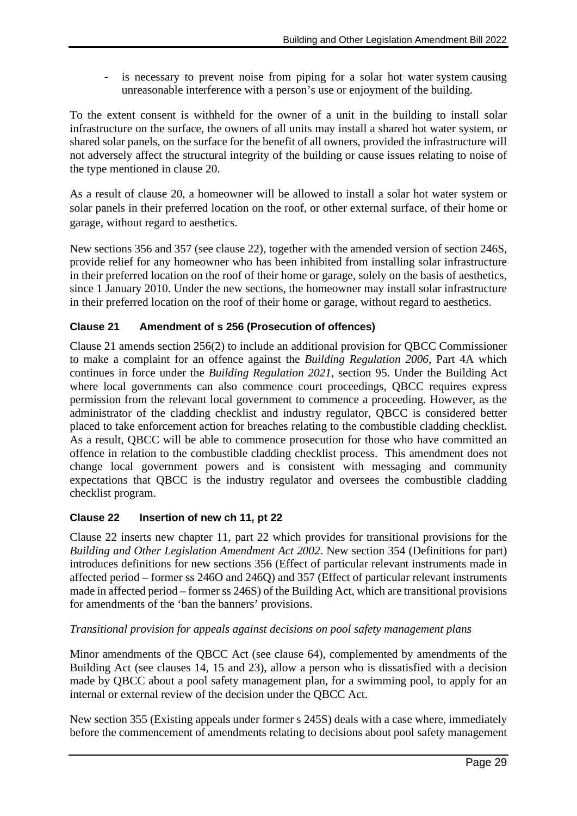is necessary to prevent noise from piping for a solar hot water system causing unreasonable interference with a person's use or enjoyment of the building.

To the extent consent is withheld for the owner of a unit in the building to install solar infrastructure on the surface, the owners of all units may install a shared hot water system, or shared solar panels, on the surface for the benefit of all owners, provided the infrastructure will not adversely affect the structural integrity of the building or cause issues relating to noise of the type mentioned in clause 20.

As a result of clause 20, a homeowner will be allowed to install a solar hot water system or solar panels in their preferred location on the roof, or other external surface, of their home or garage, without regard to aesthetics.

New sections 356 and 357 (see clause 22), together with the amended version of section 246S, provide relief for any homeowner who has been inhibited from installing solar infrastructure in their preferred location on the roof of their home or garage, solely on the basis of aesthetics, since 1 January 2010. Under the new sections, the homeowner may install solar infrastructure in their preferred location on the roof of their home or garage, without regard to aesthetics.

# **Clause 21 Amendment of s 256 (Prosecution of offences)**

Clause 21 amends section 256(2) to include an additional provision for QBCC Commissioner to make a complaint for an offence against the *Building Regulation 2006*, Part 4A which continues in force under the *Building Regulation 2021*, section 95. Under the Building Act where local governments can also commence court proceedings, QBCC requires express permission from the relevant local government to commence a proceeding. However, as the administrator of the cladding checklist and industry regulator, QBCC is considered better placed to take enforcement action for breaches relating to the combustible cladding checklist. As a result, QBCC will be able to commence prosecution for those who have committed an offence in relation to the combustible cladding checklist process. This amendment does not change local government powers and is consistent with messaging and community expectations that QBCC is the industry regulator and oversees the combustible cladding checklist program.

#### **Clause 22 Insertion of new ch 11, pt 22**

Clause 22 inserts new chapter 11, part 22 which provides for transitional provisions for the *Building and Other Legislation Amendment Act 2002*. New section 354 (Definitions for part) introduces definitions for new sections 356 (Effect of particular relevant instruments made in affected period – former ss 246O and 246Q) and 357 (Effect of particular relevant instruments made in affected period – former ss 246S) of the Building Act, which are transitional provisions for amendments of the 'ban the banners' provisions.

#### *Transitional provision for appeals against decisions on pool safety management plans*

Minor amendments of the QBCC Act (see clause 64), complemented by amendments of the Building Act (see clauses 14, 15 and 23), allow a person who is dissatisfied with a decision made by QBCC about a pool safety management plan, for a swimming pool, to apply for an internal or external review of the decision under the QBCC Act.

New section 355 (Existing appeals under former s 245S) deals with a case where, immediately before the commencement of amendments relating to decisions about pool safety management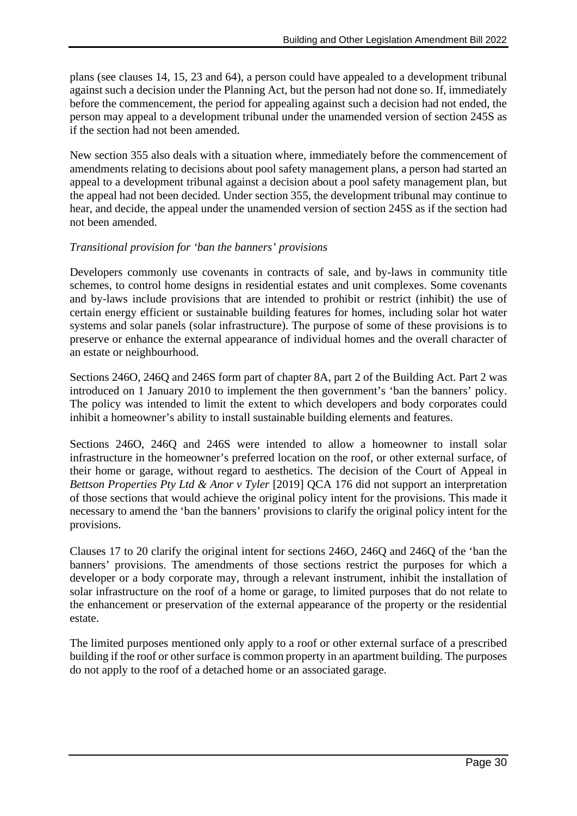plans (see clauses 14, 15, 23 and 64), a person could have appealed to a development tribunal against such a decision under the Planning Act, but the person had not done so. If, immediately before the commencement, the period for appealing against such a decision had not ended, the person may appeal to a development tribunal under the unamended version of section 245S as if the section had not been amended.

New section 355 also deals with a situation where, immediately before the commencement of amendments relating to decisions about pool safety management plans, a person had started an appeal to a development tribunal against a decision about a pool safety management plan, but the appeal had not been decided. Under section 355, the development tribunal may continue to hear, and decide, the appeal under the unamended version of section 245S as if the section had not been amended.

#### *Transitional provision for 'ban the banners' provisions*

Developers commonly use covenants in contracts of sale, and by-laws in community title schemes, to control home designs in residential estates and unit complexes. Some covenants and by-laws include provisions that are intended to prohibit or restrict (inhibit) the use of certain energy efficient or sustainable building features for homes, including solar hot water systems and solar panels (solar infrastructure). The purpose of some of these provisions is to preserve or enhance the external appearance of individual homes and the overall character of an estate or neighbourhood.

Sections 246O, 246Q and 246S form part of chapter 8A, part 2 of the Building Act. Part 2 was introduced on 1 January 2010 to implement the then government's 'ban the banners' policy. The policy was intended to limit the extent to which developers and body corporates could inhibit a homeowner's ability to install sustainable building elements and features.

Sections 246O, 246Q and 246S were intended to allow a homeowner to install solar infrastructure in the homeowner's preferred location on the roof, or other external surface, of their home or garage, without regard to aesthetics. The decision of the Court of Appeal in *Bettson Properties Pty Ltd & Anor v Tyler* [2019] QCA 176 did not support an interpretation of those sections that would achieve the original policy intent for the provisions. This made it necessary to amend the 'ban the banners' provisions to clarify the original policy intent for the provisions.

Clauses 17 to 20 clarify the original intent for sections 246O, 246Q and 246Q of the 'ban the banners' provisions. The amendments of those sections restrict the purposes for which a developer or a body corporate may, through a relevant instrument, inhibit the installation of solar infrastructure on the roof of a home or garage, to limited purposes that do not relate to the enhancement or preservation of the external appearance of the property or the residential estate.

The limited purposes mentioned only apply to a roof or other external surface of a prescribed building if the roof or other surface is common property in an apartment building. The purposes do not apply to the roof of a detached home or an associated garage.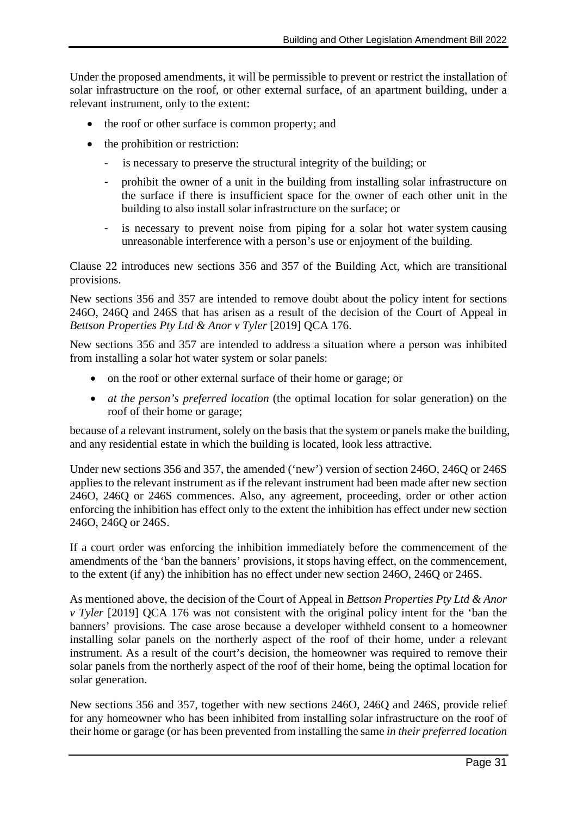Under the proposed amendments, it will be permissible to prevent or restrict the installation of solar infrastructure on the roof, or other external surface, of an apartment building, under a relevant instrument, only to the extent:

- the roof or other surface is common property; and
- the prohibition or restriction:
	- is necessary to preserve the structural integrity of the building; or
	- prohibit the owner of a unit in the building from installing solar infrastructure on the surface if there is insufficient space for the owner of each other unit in the building to also install solar infrastructure on the surface; or
	- is necessary to prevent noise from piping for a solar hot water system causing unreasonable interference with a person's use or enjoyment of the building.

Clause 22 introduces new sections 356 and 357 of the Building Act, which are transitional provisions.

New sections 356 and 357 are intended to remove doubt about the policy intent for sections 246O, 246Q and 246S that has arisen as a result of the decision of the Court of Appeal in *Bettson Properties Pty Ltd & Anor v Tyler* [2019] QCA 176.

New sections 356 and 357 are intended to address a situation where a person was inhibited from installing a solar hot water system or solar panels:

- on the roof or other external surface of their home or garage; or
- *at the person's preferred location* (the optimal location for solar generation) on the roof of their home or garage;

because of a relevant instrument, solely on the basis that the system or panels make the building, and any residential estate in which the building is located, look less attractive.

Under new sections 356 and 357, the amended ('new') version of section 246O, 246Q or 246S applies to the relevant instrument as if the relevant instrument had been made after new section 246O, 246Q or 246S commences. Also, any agreement, proceeding, order or other action enforcing the inhibition has effect only to the extent the inhibition has effect under new section 246O, 246Q or 246S.

If a court order was enforcing the inhibition immediately before the commencement of the amendments of the 'ban the banners' provisions, it stops having effect, on the commencement, to the extent (if any) the inhibition has no effect under new section 246O, 246Q or 246S.

As mentioned above, the decision of the Court of Appeal in *Bettson Properties Pty Ltd & Anor v Tyler* [2019] QCA 176 was not consistent with the original policy intent for the 'ban the banners' provisions. The case arose because a developer withheld consent to a homeowner installing solar panels on the northerly aspect of the roof of their home, under a relevant instrument. As a result of the court's decision, the homeowner was required to remove their solar panels from the northerly aspect of the roof of their home, being the optimal location for solar generation.

New sections 356 and 357, together with new sections 246O, 246Q and 246S, provide relief for any homeowner who has been inhibited from installing solar infrastructure on the roof of their home or garage (or has been prevented from installing the same *in their preferred location*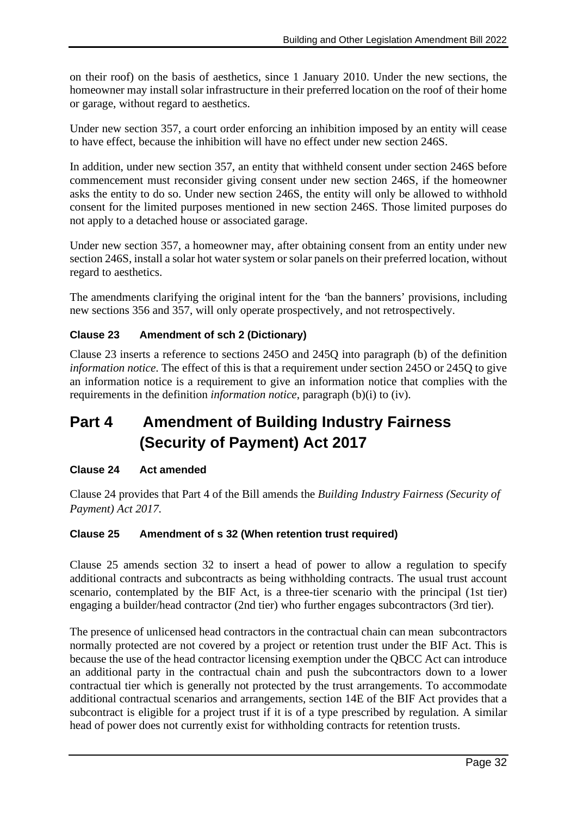on their roof) on the basis of aesthetics, since 1 January 2010. Under the new sections, the homeowner may install solar infrastructure in their preferred location on the roof of their home or garage, without regard to aesthetics.

Under new section 357, a court order enforcing an inhibition imposed by an entity will cease to have effect, because the inhibition will have no effect under new section 246S.

In addition, under new section 357, an entity that withheld consent under section 246S before commencement must reconsider giving consent under new section 246S, if the homeowner asks the entity to do so. Under new section 246S, the entity will only be allowed to withhold consent for the limited purposes mentioned in new section 246S. Those limited purposes do not apply to a detached house or associated garage.

Under new section 357, a homeowner may, after obtaining consent from an entity under new section 246S, install a solar hot water system or solar panels on their preferred location, without regard to aesthetics.

The amendments clarifying the original intent for the *'*ban the banners' provisions, including new sections 356 and 357, will only operate prospectively, and not retrospectively.

# **Clause 23 Amendment of sch 2 (Dictionary)**

Clause 23 inserts a reference to sections 245O and 245Q into paragraph (b) of the definition *information notice*. The effect of this is that a requirement under section 245O or 245Q to give an information notice is a requirement to give an information notice that complies with the requirements in the definition *information notice*, paragraph (b)(i) to (iv).

# **Part 4 Amendment of Building Industry Fairness (Security of Payment) Act 2017**

# **Clause 24 Act amended**

Clause 24 provides that Part 4 of the Bill amends the *Building Industry Fairness (Security of Payment) Act 2017.*

# **Clause 25 Amendment of s 32 (When retention trust required)**

Clause 25 amends section 32 to insert a head of power to allow a regulation to specify additional contracts and subcontracts as being withholding contracts. The usual trust account scenario, contemplated by the BIF Act, is a three-tier scenario with the principal (1st tier) engaging a builder/head contractor (2nd tier) who further engages subcontractors (3rd tier).

The presence of unlicensed head contractors in the contractual chain can mean subcontractors normally protected are not covered by a project or retention trust under the BIF Act. This is because the use of the head contractor licensing exemption under the QBCC Act can introduce an additional party in the contractual chain and push the subcontractors down to a lower contractual tier which is generally not protected by the trust arrangements. To accommodate additional contractual scenarios and arrangements, section 14E of the BIF Act provides that a subcontract is eligible for a project trust if it is of a type prescribed by regulation. A similar head of power does not currently exist for withholding contracts for retention trusts.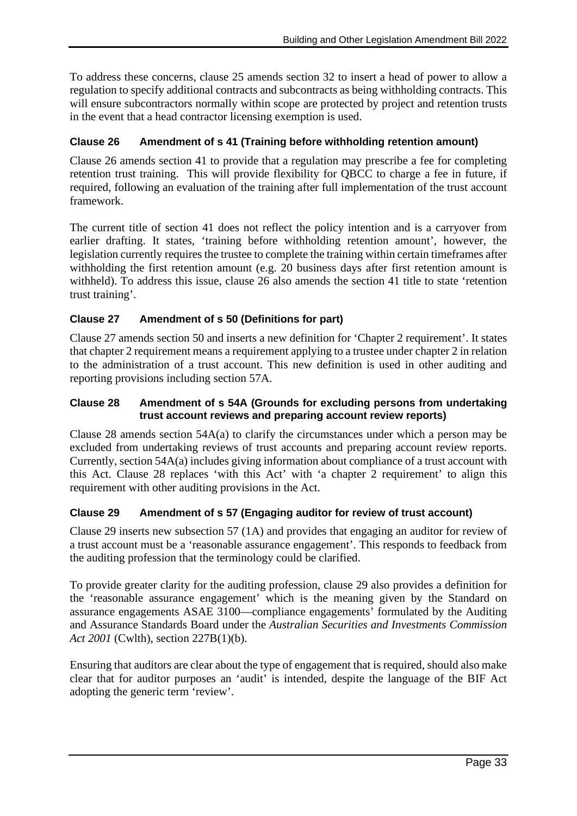To address these concerns, clause 25 amends section 32 to insert a head of power to allow a regulation to specify additional contracts and subcontracts as being withholding contracts. This will ensure subcontractors normally within scope are protected by project and retention trusts in the event that a head contractor licensing exemption is used.

# **Clause 26 Amendment of s 41 (Training before withholding retention amount)**

Clause 26 amends section 41 to provide that a regulation may prescribe a fee for completing retention trust training. This will provide flexibility for QBCC to charge a fee in future, if required, following an evaluation of the training after full implementation of the trust account framework.

The current title of section 41 does not reflect the policy intention and is a carryover from earlier drafting. It states, 'training before withholding retention amount', however, the legislation currently requires the trustee to complete the training within certain timeframes after withholding the first retention amount (e.g. 20 business days after first retention amount is withheld). To address this issue, clause 26 also amends the section 41 title to state 'retention trust training'.

# **Clause 27 Amendment of s 50 (Definitions for part)**

Clause 27 amends section 50 and inserts a new definition for 'Chapter 2 requirement'. It states that chapter 2 requirement means a requirement applying to a trustee under chapter 2 in relation to the administration of a trust account. This new definition is used in other auditing and reporting provisions including section 57A.

#### **Clause 28 Amendment of s 54A (Grounds for excluding persons from undertaking trust account reviews and preparing account review reports)**

Clause 28 amends section 54A(a) to clarify the circumstances under which a person may be excluded from undertaking reviews of trust accounts and preparing account review reports. Currently, section 54A(a) includes giving information about compliance of a trust account with this Act. Clause 28 replaces 'with this Act' with 'a chapter 2 requirement' to align this requirement with other auditing provisions in the Act.

#### **Clause 29 Amendment of s 57 (Engaging auditor for review of trust account)**

Clause 29 inserts new subsection 57 (1A) and provides that engaging an auditor for review of a trust account must be a 'reasonable assurance engagement'. This responds to feedback from the auditing profession that the terminology could be clarified.

To provide greater clarity for the auditing profession, clause 29 also provides a definition for the 'reasonable assurance engagement' which is the meaning given by the Standard on assurance engagements ASAE 3100—compliance engagements' formulated by the Auditing and Assurance Standards Board under the *Australian Securities and Investments Commission Act 2001* (Cwlth), section 227B(1)(b).

Ensuring that auditors are clear about the type of engagement that is required, should also make clear that for auditor purposes an 'audit' is intended, despite the language of the BIF Act adopting the generic term 'review'.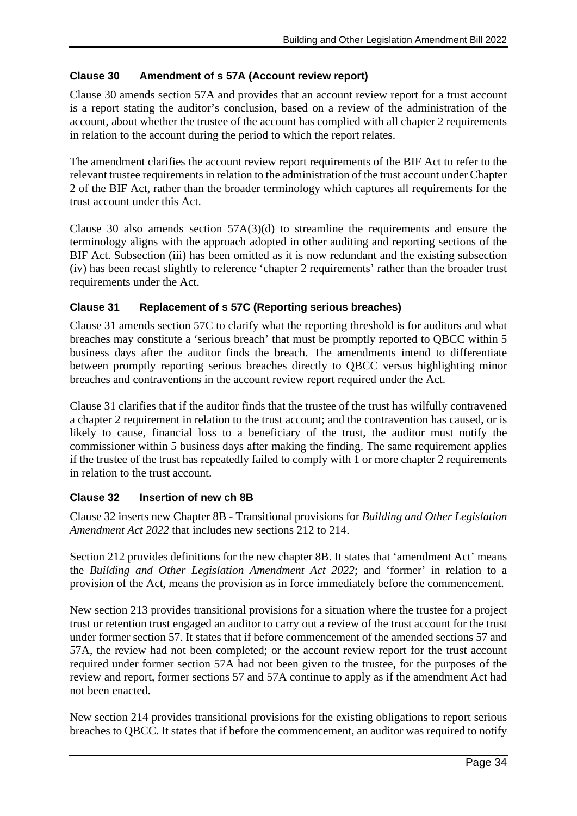### **Clause 30 Amendment of s 57A (Account review report)**

Clause 30 amends section 57A and provides that an account review report for a trust account is a report stating the auditor's conclusion, based on a review of the administration of the account, about whether the trustee of the account has complied with all chapter 2 requirements in relation to the account during the period to which the report relates.

The amendment clarifies the account review report requirements of the BIF Act to refer to the relevant trustee requirements in relation to the administration of the trust account under Chapter 2 of the BIF Act, rather than the broader terminology which captures all requirements for the trust account under this Act.

Clause 30 also amends section  $57A(3)(d)$  to streamline the requirements and ensure the terminology aligns with the approach adopted in other auditing and reporting sections of the BIF Act. Subsection (iii) has been omitted as it is now redundant and the existing subsection (iv) has been recast slightly to reference 'chapter 2 requirements' rather than the broader trust requirements under the Act.

# **Clause 31 Replacement of s 57C (Reporting serious breaches)**

Clause 31 amends section 57C to clarify what the reporting threshold is for auditors and what breaches may constitute a 'serious breach' that must be promptly reported to QBCC within 5 business days after the auditor finds the breach. The amendments intend to differentiate between promptly reporting serious breaches directly to QBCC versus highlighting minor breaches and contraventions in the account review report required under the Act.

Clause 31 clarifies that if the auditor finds that the trustee of the trust has wilfully contravened a chapter 2 requirement in relation to the trust account; and the contravention has caused, or is likely to cause, financial loss to a beneficiary of the trust, the auditor must notify the commissioner within 5 business days after making the finding. The same requirement applies if the trustee of the trust has repeatedly failed to comply with 1 or more chapter 2 requirements in relation to the trust account.

#### **Clause 32 Insertion of new ch 8B**

Clause 32 inserts new Chapter 8B - Transitional provisions for *Building and Other Legislation Amendment Act 2022* that includes new sections 212 to 214.

Section 212 provides definitions for the new chapter 8B. It states that 'amendment Act' means the *Building and Other Legislation Amendment Act 2022*; and 'former' in relation to a provision of the Act, means the provision as in force immediately before the commencement.

New section 213 provides transitional provisions for a situation where the trustee for a project trust or retention trust engaged an auditor to carry out a review of the trust account for the trust under former section 57. It states that if before commencement of the amended sections 57 and 57A, the review had not been completed; or the account review report for the trust account required under former section 57A had not been given to the trustee, for the purposes of the review and report, former sections 57 and 57A continue to apply as if the amendment Act had not been enacted.

New section 214 provides transitional provisions for the existing obligations to report serious breaches to QBCC. It states that if before the commencement, an auditor was required to notify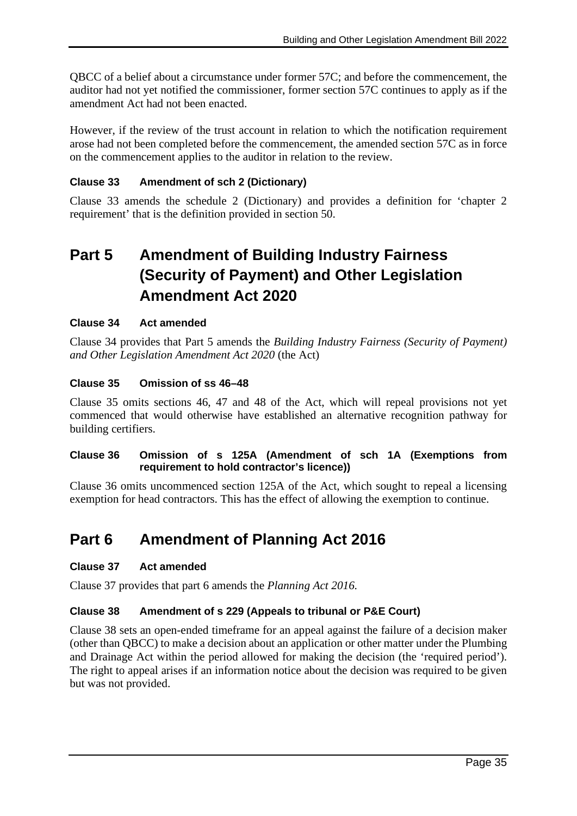QBCC of a belief about a circumstance under former 57C; and before the commencement, the auditor had not yet notified the commissioner, former section 57C continues to apply as if the amendment Act had not been enacted.

However, if the review of the trust account in relation to which the notification requirement arose had not been completed before the commencement, the amended section 57C as in force on the commencement applies to the auditor in relation to the review.

### **Clause 33 Amendment of sch 2 (Dictionary)**

Clause 33 amends the schedule 2 (Dictionary) and provides a definition for 'chapter 2 requirement' that is the definition provided in section 50.

# **Part 5 Amendment of Building Industry Fairness (Security of Payment) and Other Legislation Amendment Act 2020**

#### **Clause 34 Act amended**

Clause 34 provides that Part 5 amends the *Building Industry Fairness (Security of Payment) and Other Legislation Amendment Act 2020* (the Act)

#### **Clause 35 Omission of ss 46–48**

Clause 35 omits sections 46, 47 and 48 of the Act, which will repeal provisions not yet commenced that would otherwise have established an alternative recognition pathway for building certifiers.

#### **Clause 36 Omission of s 125A (Amendment of sch 1A (Exemptions from requirement to hold contractor's licence))**

Clause 36 omits uncommenced section 125A of the Act, which sought to repeal a licensing exemption for head contractors. This has the effect of allowing the exemption to continue.

# **Part 6 Amendment of Planning Act 2016**

#### **Clause 37 Act amended**

Clause 37 provides that part 6 amends the *Planning Act 2016.*

#### **Clause 38 Amendment of s 229 (Appeals to tribunal or P&E Court)**

Clause 38 sets an open-ended timeframe for an appeal against the failure of a decision maker (other than QBCC) to make a decision about an application or other matter under the Plumbing and Drainage Act within the period allowed for making the decision (the 'required period'). The right to appeal arises if an information notice about the decision was required to be given but was not provided.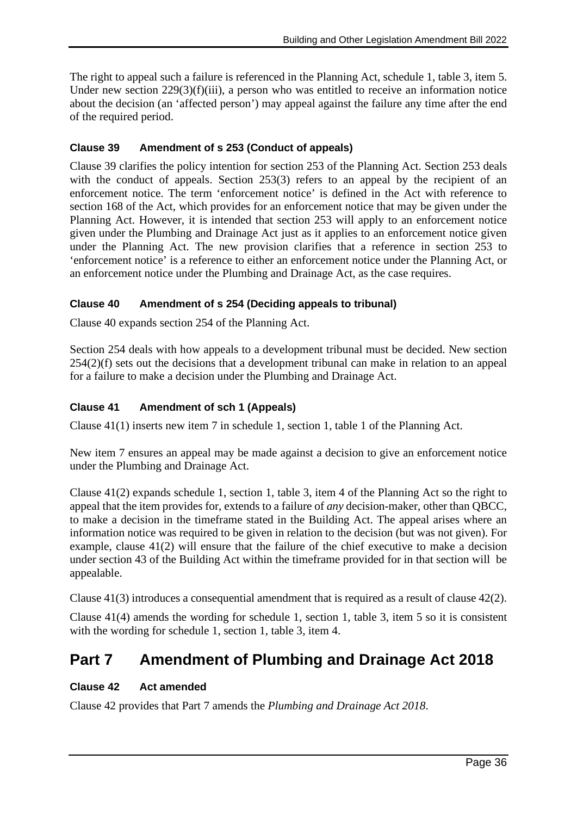The right to appeal such a failure is referenced in the Planning Act, schedule 1, table 3, item 5. Under new section 229(3)(f)(iii), a person who was entitled to receive an information notice about the decision (an 'affected person') may appeal against the failure any time after the end of the required period.

### **Clause 39 Amendment of s 253 (Conduct of appeals)**

Clause 39 clarifies the policy intention for section 253 of the Planning Act. Section 253 deals with the conduct of appeals. Section 253(3) refers to an appeal by the recipient of an enforcement notice. The term 'enforcement notice' is defined in the Act with reference to section 168 of the Act, which provides for an enforcement notice that may be given under the Planning Act. However, it is intended that section 253 will apply to an enforcement notice given under the Plumbing and Drainage Act just as it applies to an enforcement notice given under the Planning Act. The new provision clarifies that a reference in section 253 to 'enforcement notice' is a reference to either an enforcement notice under the Planning Act, or an enforcement notice under the Plumbing and Drainage Act, as the case requires.

# **Clause 40 Amendment of s 254 (Deciding appeals to tribunal)**

Clause 40 expands section 254 of the Planning Act.

Section 254 deals with how appeals to a development tribunal must be decided. New section  $254(2)(f)$  sets out the decisions that a development tribunal can make in relation to an appeal for a failure to make a decision under the Plumbing and Drainage Act.

# **Clause 41 Amendment of sch 1 (Appeals)**

Clause 41(1) inserts new item 7 in schedule 1, section 1, table 1 of the Planning Act.

New item 7 ensures an appeal may be made against a decision to give an enforcement notice under the Plumbing and Drainage Act.

Clause 41(2) expands schedule 1, section 1, table 3, item 4 of the Planning Act so the right to appeal that the item provides for, extends to a failure of *any* decision-maker, other than QBCC, to make a decision in the timeframe stated in the Building Act. The appeal arises where an information notice was required to be given in relation to the decision (but was not given). For example, clause 41(2) will ensure that the failure of the chief executive to make a decision under section 43 of the Building Act within the timeframe provided for in that section will be appealable.

Clause 41(3) introduces a consequential amendment that is required as a result of clause 42(2).

Clause 41(4) amends the wording for schedule 1, section 1, table 3, item 5 so it is consistent with the wording for schedule 1, section 1, table 3, item 4.

# **Part 7 Amendment of Plumbing and Drainage Act 2018**

#### **Clause 42 Act amended**

Clause 42 provides that Part 7 amends the *Plumbing and Drainage Act 2018*.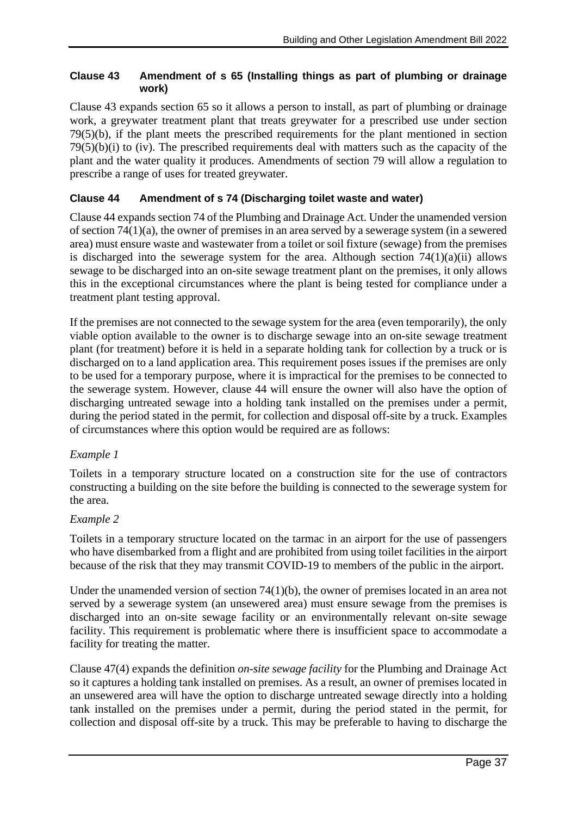### **Clause 43 Amendment of s 65 (Installing things as part of plumbing or drainage work)**

Clause 43 expands section 65 so it allows a person to install, as part of plumbing or drainage work, a greywater treatment plant that treats greywater for a prescribed use under section 79(5)(b), if the plant meets the prescribed requirements for the plant mentioned in section  $79(5)(b)(i)$  to (iv). The prescribed requirements deal with matters such as the capacity of the plant and the water quality it produces. Amendments of section 79 will allow a regulation to prescribe a range of uses for treated greywater.

# **Clause 44 Amendment of s 74 (Discharging toilet waste and water)**

Clause 44 expands section 74 of the Plumbing and Drainage Act. Under the unamended version of section 74(1)(a), the owner of premises in an area served by a sewerage system (in a sewered area) must ensure waste and wastewater from a toilet or soil fixture (sewage) from the premises is discharged into the sewerage system for the area. Although section  $74(1)(a)(ii)$  allows sewage to be discharged into an on-site sewage treatment plant on the premises, it only allows this in the exceptional circumstances where the plant is being tested for compliance under a treatment plant testing approval.

If the premises are not connected to the sewage system for the area (even temporarily), the only viable option available to the owner is to discharge sewage into an on-site sewage treatment plant (for treatment) before it is held in a separate holding tank for collection by a truck or is discharged on to a land application area. This requirement poses issues if the premises are only to be used for a temporary purpose, where it is impractical for the premises to be connected to the sewerage system. However, clause 44 will ensure the owner will also have the option of discharging untreated sewage into a holding tank installed on the premises under a permit, during the period stated in the permit, for collection and disposal off-site by a truck. Examples of circumstances where this option would be required are as follows:

#### *Example 1*

Toilets in a temporary structure located on a construction site for the use of contractors constructing a building on the site before the building is connected to the sewerage system for the area.

#### *Example 2*

Toilets in a temporary structure located on the tarmac in an airport for the use of passengers who have disembarked from a flight and are prohibited from using toilet facilities in the airport because of the risk that they may transmit COVID-19 to members of the public in the airport.

Under the unamended version of section 74(1)(b), the owner of premises located in an area not served by a sewerage system (an unsewered area) must ensure sewage from the premises is discharged into an on-site sewage facility or an environmentally relevant on-site sewage facility. This requirement is problematic where there is insufficient space to accommodate a facility for treating the matter.

Clause 47(4) expands the definition *on-site sewage facility* for the Plumbing and Drainage Act so it captures a holding tank installed on premises. As a result, an owner of premises located in an unsewered area will have the option to discharge untreated sewage directly into a holding tank installed on the premises under a permit, during the period stated in the permit, for collection and disposal off-site by a truck. This may be preferable to having to discharge the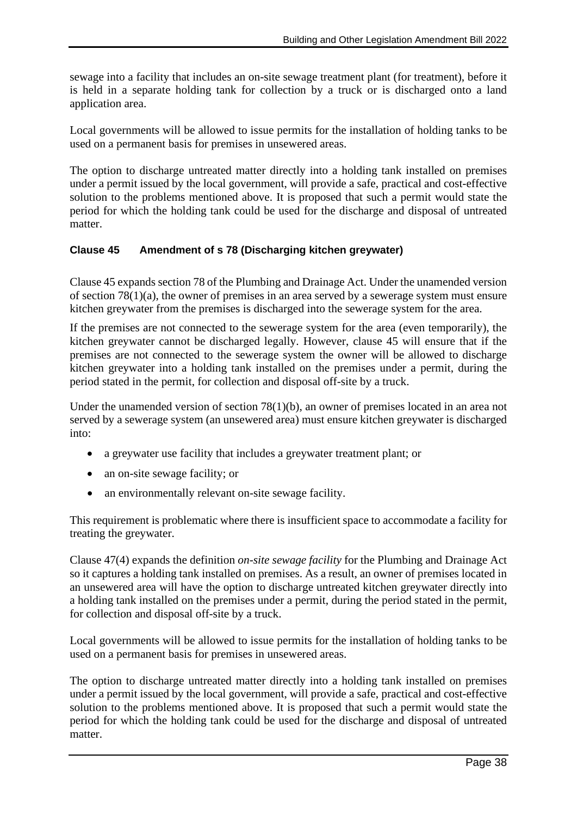sewage into a facility that includes an on-site sewage treatment plant (for treatment), before it is held in a separate holding tank for collection by a truck or is discharged onto a land application area.

Local governments will be allowed to issue permits for the installation of holding tanks to be used on a permanent basis for premises in unsewered areas.

The option to discharge untreated matter directly into a holding tank installed on premises under a permit issued by the local government, will provide a safe, practical and cost-effective solution to the problems mentioned above. It is proposed that such a permit would state the period for which the holding tank could be used for the discharge and disposal of untreated matter.

# **Clause 45 Amendment of s 78 (Discharging kitchen greywater)**

Clause 45 expands section 78 of the Plumbing and Drainage Act. Under the unamended version of section 78(1)(a), the owner of premises in an area served by a sewerage system must ensure kitchen greywater from the premises is discharged into the sewerage system for the area.

If the premises are not connected to the sewerage system for the area (even temporarily), the kitchen greywater cannot be discharged legally. However, clause 45 will ensure that if the premises are not connected to the sewerage system the owner will be allowed to discharge kitchen greywater into a holding tank installed on the premises under a permit, during the period stated in the permit, for collection and disposal off-site by a truck.

Under the unamended version of section 78(1)(b), an owner of premises located in an area not served by a sewerage system (an unsewered area) must ensure kitchen greywater is discharged into:

- a greywater use facility that includes a greywater treatment plant; or
- an on-site sewage facility; or
- an environmentally relevant on-site sewage facility.

This requirement is problematic where there is insufficient space to accommodate a facility for treating the greywater.

Clause 47(4) expands the definition *on-site sewage facility* for the Plumbing and Drainage Act so it captures a holding tank installed on premises. As a result, an owner of premises located in an unsewered area will have the option to discharge untreated kitchen greywater directly into a holding tank installed on the premises under a permit, during the period stated in the permit, for collection and disposal off-site by a truck.

Local governments will be allowed to issue permits for the installation of holding tanks to be used on a permanent basis for premises in unsewered areas.

The option to discharge untreated matter directly into a holding tank installed on premises under a permit issued by the local government, will provide a safe, practical and cost-effective solution to the problems mentioned above. It is proposed that such a permit would state the period for which the holding tank could be used for the discharge and disposal of untreated matter.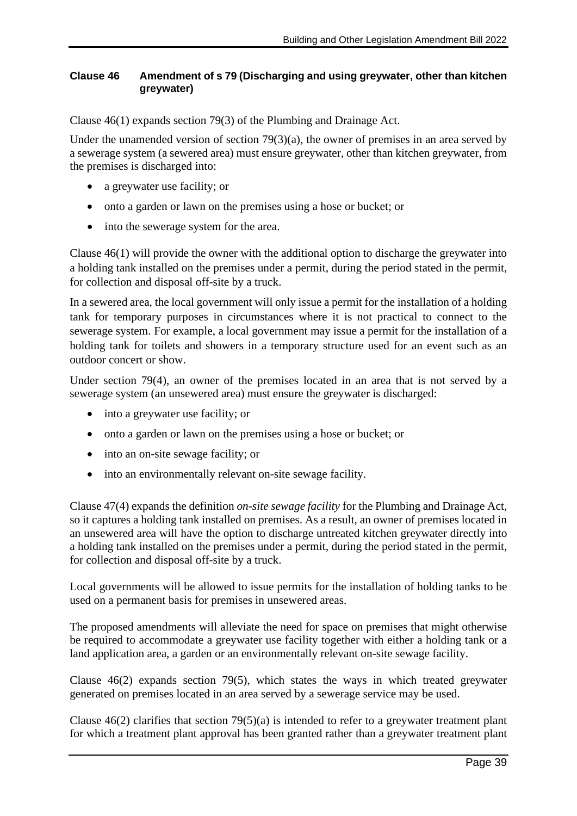#### **Clause 46 Amendment of s 79 (Discharging and using greywater, other than kitchen greywater)**

Clause 46(1) expands section 79(3) of the Plumbing and Drainage Act.

Under the unamended version of section 79(3)(a), the owner of premises in an area served by a sewerage system (a sewered area) must ensure greywater, other than kitchen greywater, from the premises is discharged into:

- a greywater use facility; or
- onto a garden or lawn on the premises using a hose or bucket; or
- into the sewerage system for the area.

Clause 46(1) will provide the owner with the additional option to discharge the greywater into a holding tank installed on the premises under a permit, during the period stated in the permit, for collection and disposal off-site by a truck.

In a sewered area, the local government will only issue a permit for the installation of a holding tank for temporary purposes in circumstances where it is not practical to connect to the sewerage system. For example, a local government may issue a permit for the installation of a holding tank for toilets and showers in a temporary structure used for an event such as an outdoor concert or show.

Under section 79(4), an owner of the premises located in an area that is not served by a sewerage system (an unsewered area) must ensure the greywater is discharged:

- into a greywater use facility; or
- onto a garden or lawn on the premises using a hose or bucket; or
- into an on-site sewage facility; or
- into an environmentally relevant on-site sewage facility.

Clause 47(4) expands the definition *on-site sewage facility* for the Plumbing and Drainage Act, so it captures a holding tank installed on premises. As a result, an owner of premises located in an unsewered area will have the option to discharge untreated kitchen greywater directly into a holding tank installed on the premises under a permit, during the period stated in the permit, for collection and disposal off-site by a truck.

Local governments will be allowed to issue permits for the installation of holding tanks to be used on a permanent basis for premises in unsewered areas.

The proposed amendments will alleviate the need for space on premises that might otherwise be required to accommodate a greywater use facility together with either a holding tank or a land application area, a garden or an environmentally relevant on-site sewage facility.

Clause 46(2) expands section 79(5), which states the ways in which treated greywater generated on premises located in an area served by a sewerage service may be used.

Clause  $46(2)$  clarifies that section  $79(5)(a)$  is intended to refer to a greywater treatment plant for which a treatment plant approval has been granted rather than a greywater treatment plant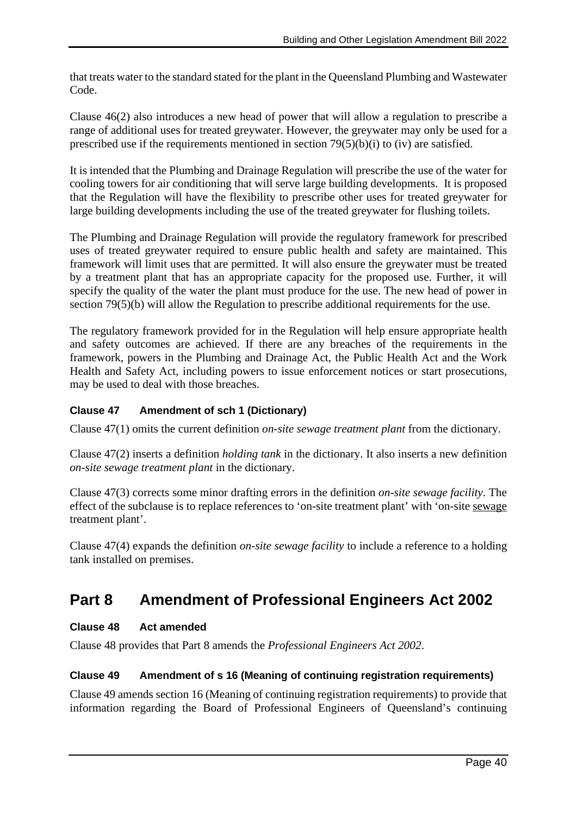that treats water to the standard stated for the plant in the Queensland Plumbing and Wastewater Code.

Clause 46(2) also introduces a new head of power that will allow a regulation to prescribe a range of additional uses for treated greywater. However, the greywater may only be used for a prescribed use if the requirements mentioned in section  $79(5)(b)(i)$  to (iv) are satisfied.

It is intended that the Plumbing and Drainage Regulation will prescribe the use of the water for cooling towers for air conditioning that will serve large building developments. It is proposed that the Regulation will have the flexibility to prescribe other uses for treated greywater for large building developments including the use of the treated greywater for flushing toilets.

The Plumbing and Drainage Regulation will provide the regulatory framework for prescribed uses of treated greywater required to ensure public health and safety are maintained. This framework will limit uses that are permitted. It will also ensure the greywater must be treated by a treatment plant that has an appropriate capacity for the proposed use. Further, it will specify the quality of the water the plant must produce for the use. The new head of power in section 79(5)(b) will allow the Regulation to prescribe additional requirements for the use.

The regulatory framework provided for in the Regulation will help ensure appropriate health and safety outcomes are achieved. If there are any breaches of the requirements in the framework, powers in the Plumbing and Drainage Act, the Public Health Act and the Work Health and Safety Act, including powers to issue enforcement notices or start prosecutions, may be used to deal with those breaches.

# **Clause 47 Amendment of sch 1 (Dictionary)**

Clause 47(1) omits the current definition *on-site sewage treatment plant* from the dictionary.

Clause 47(2) inserts a definition *holding tank* in the dictionary. It also inserts a new definition *on-site sewage treatment plant* in the dictionary.

Clause 47(3) corrects some minor drafting errors in the definition *on-site sewage facility*. The effect of the subclause is to replace references to 'on-site treatment plant' with 'on-site sewage treatment plant'.

Clause 47(4) expands the definition *on-site sewage facility* to include a reference to a holding tank installed on premises.

# **Part 8 Amendment of Professional Engineers Act 2002**

#### **Clause 48 Act amended**

Clause 48 provides that Part 8 amends the *Professional Engineers Act 2002*.

# **Clause 49 Amendment of s 16 (Meaning of continuing registration requirements)**

Clause 49 amends section 16 (Meaning of continuing registration requirements) to provide that information regarding the Board of Professional Engineers of Queensland's continuing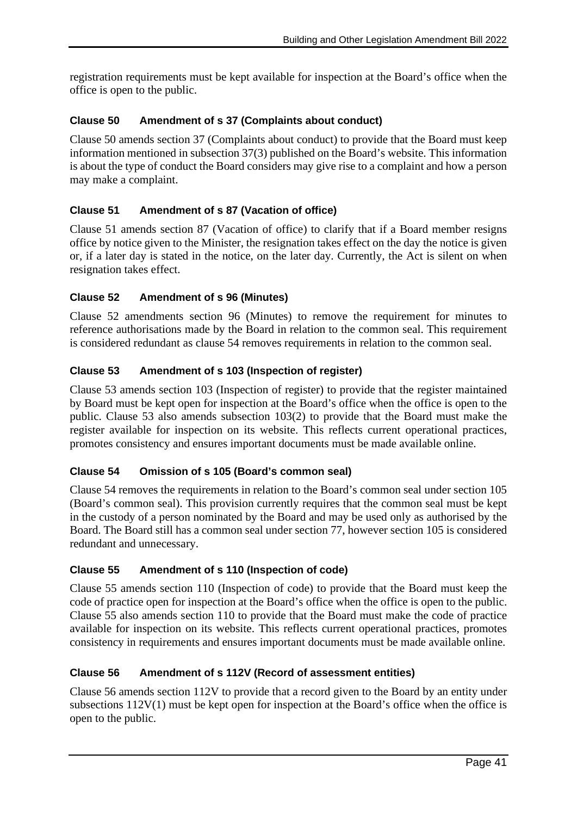registration requirements must be kept available for inspection at the Board's office when the office is open to the public.

# **Clause 50 Amendment of s 37 (Complaints about conduct)**

Clause 50 amends section 37 (Complaints about conduct) to provide that the Board must keep information mentioned in subsection 37(3) published on the Board's website. This information is about the type of conduct the Board considers may give rise to a complaint and how a person may make a complaint.

# **Clause 51 Amendment of s 87 (Vacation of office)**

Clause 51 amends section 87 (Vacation of office) to clarify that if a Board member resigns office by notice given to the Minister, the resignation takes effect on the day the notice is given or, if a later day is stated in the notice, on the later day. Currently, the Act is silent on when resignation takes effect.

#### **Clause 52 Amendment of s 96 (Minutes)**

Clause 52 amendments section 96 (Minutes) to remove the requirement for minutes to reference authorisations made by the Board in relation to the common seal. This requirement is considered redundant as clause 54 removes requirements in relation to the common seal.

# **Clause 53 Amendment of s 103 (Inspection of register)**

Clause 53 amends section 103 (Inspection of register) to provide that the register maintained by Board must be kept open for inspection at the Board's office when the office is open to the public. Clause 53 also amends subsection 103(2) to provide that the Board must make the register available for inspection on its website. This reflects current operational practices, promotes consistency and ensures important documents must be made available online.

#### **Clause 54 Omission of s 105 (Board's common seal)**

Clause 54 removes the requirements in relation to the Board's common seal under section 105 (Board's common seal). This provision currently requires that the common seal must be kept in the custody of a person nominated by the Board and may be used only as authorised by the Board. The Board still has a common seal under section 77, however section 105 is considered redundant and unnecessary.

#### **Clause 55 Amendment of s 110 (Inspection of code)**

Clause 55 amends section 110 (Inspection of code) to provide that the Board must keep the code of practice open for inspection at the Board's office when the office is open to the public. Clause 55 also amends section 110 to provide that the Board must make the code of practice available for inspection on its website. This reflects current operational practices, promotes consistency in requirements and ensures important documents must be made available online.

#### **Clause 56 Amendment of s 112V (Record of assessment entities)**

Clause 56 amends section 112V to provide that a record given to the Board by an entity under subsections 112V(1) must be kept open for inspection at the Board's office when the office is open to the public.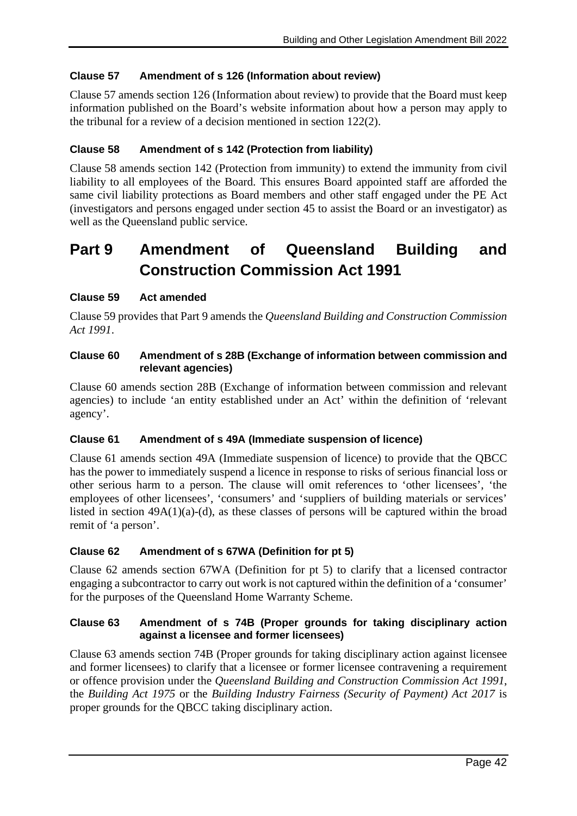# **Clause 57 Amendment of s 126 (Information about review)**

Clause 57 amends section 126 (Information about review) to provide that the Board must keep information published on the Board's website information about how a person may apply to the tribunal for a review of a decision mentioned in section 122(2).

### **Clause 58 Amendment of s 142 (Protection from liability)**

Clause 58 amends section 142 (Protection from immunity) to extend the immunity from civil liability to all employees of the Board. This ensures Board appointed staff are afforded the same civil liability protections as Board members and other staff engaged under the PE Act (investigators and persons engaged under section 45 to assist the Board or an investigator) as well as the Queensland public service.

# **Part 9 Amendment of Queensland Building and Construction Commission Act 1991**

#### **Clause 59 Act amended**

Clause 59 provides that Part 9 amends the *Queensland Building and Construction Commission Act 1991*.

#### **Clause 60 Amendment of s 28B (Exchange of information between commission and relevant agencies)**

Clause 60 amends section 28B (Exchange of information between commission and relevant agencies) to include 'an entity established under an Act' within the definition of 'relevant agency'.

#### **Clause 61 Amendment of s 49A (Immediate suspension of licence)**

Clause 61 amends section 49A (Immediate suspension of licence) to provide that the QBCC has the power to immediately suspend a licence in response to risks of serious financial loss or other serious harm to a person. The clause will omit references to 'other licensees', 'the employees of other licensees', 'consumers' and 'suppliers of building materials or services' listed in section  $49A(1)(a)-(d)$ , as these classes of persons will be captured within the broad remit of 'a person'.

#### **Clause 62 Amendment of s 67WA (Definition for pt 5)**

Clause 62 amends section 67WA (Definition for pt 5) to clarify that a licensed contractor engaging a subcontractor to carry out work is not captured within the definition of a 'consumer' for the purposes of the Queensland Home Warranty Scheme.

#### **Clause 63 Amendment of s 74B (Proper grounds for taking disciplinary action against a licensee and former licensees)**

Clause 63 amends section 74B (Proper grounds for taking disciplinary action against licensee and former licensees) to clarify that a licensee or former licensee contravening a requirement or offence provision under the *Queensland Building and Construction Commission Act 1991*, the *Building Act 1975* or the *Building Industry Fairness (Security of Payment) Act 2017* is proper grounds for the QBCC taking disciplinary action.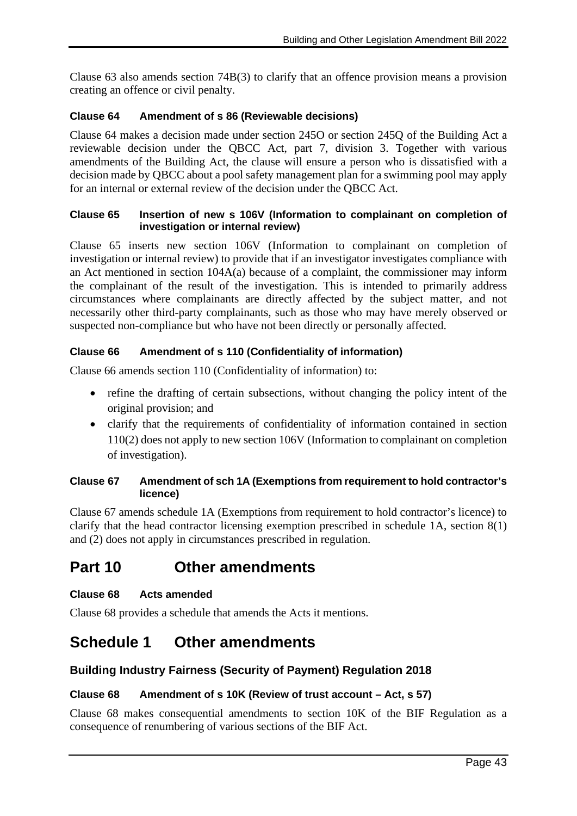Clause 63 also amends section 74B(3) to clarify that an offence provision means a provision creating an offence or civil penalty.

### **Clause 64 Amendment of s 86 (Reviewable decisions)**

Clause 64 makes a decision made under section 245O or section 245Q of the Building Act a reviewable decision under the QBCC Act, part 7, division 3. Together with various amendments of the Building Act, the clause will ensure a person who is dissatisfied with a decision made by QBCC about a pool safety management plan for a swimming pool may apply for an internal or external review of the decision under the QBCC Act.

#### **Clause 65 Insertion of new s 106V (Information to complainant on completion of investigation or internal review)**

Clause 65 inserts new section 106V (Information to complainant on completion of investigation or internal review) to provide that if an investigator investigates compliance with an Act mentioned in section 104A(a) because of a complaint, the commissioner may inform the complainant of the result of the investigation. This is intended to primarily address circumstances where complainants are directly affected by the subject matter, and not necessarily other third-party complainants, such as those who may have merely observed or suspected non-compliance but who have not been directly or personally affected.

# **Clause 66 Amendment of s 110 (Confidentiality of information)**

Clause 66 amends section 110 (Confidentiality of information) to:

- refine the drafting of certain subsections, without changing the policy intent of the original provision; and
- clarify that the requirements of confidentiality of information contained in section 110(2) does not apply to new section 106V (Information to complainant on completion of investigation).

#### **Clause 67 Amendment of sch 1A (Exemptions from requirement to hold contractor's licence)**

Clause 67 amends schedule 1A (Exemptions from requirement to hold contractor's licence) to clarify that the head contractor licensing exemption prescribed in schedule 1A, section 8(1) and (2) does not apply in circumstances prescribed in regulation.

# **Part 10 Other amendments**

#### **Clause 68 Acts amended**

Clause 68 provides a schedule that amends the Acts it mentions.

# **Schedule 1 Other amendments**

# **Building Industry Fairness (Security of Payment) Regulation 2018**

#### **Clause 68 Amendment of s 10K (Review of trust account – Act, s 57)**

Clause 68 makes consequential amendments to section 10K of the BIF Regulation as a consequence of renumbering of various sections of the BIF Act.